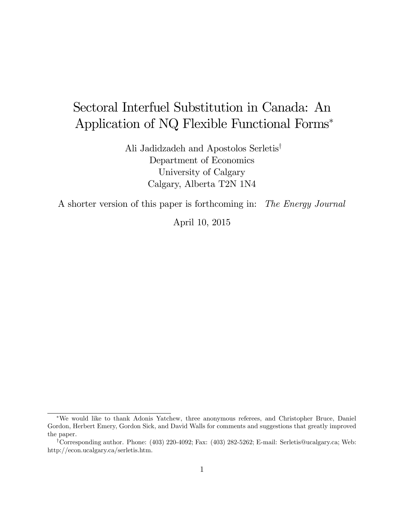# Sectoral Interfuel Substitution in Canada: An Application of NQ Flexible Functional Forms

Ali Jadidzadeh and Apostolos Serletis<sup>†</sup> Department of Economics University of Calgary Calgary, Alberta T2N 1N4

A shorter version of this paper is forthcoming in: The Energy Journal

April 10, 2015

We would like to thank Adonis Yatchew, three anonymous referees, and Christopher Bruce, Daniel Gordon, Herbert Emery, Gordon Sick, and David Walls for comments and suggestions that greatly improved the paper.

<sup>&</sup>lt;sup>†</sup>Corresponding author. Phone:  $(403)$  220-4092; Fax:  $(403)$  282-5262; E-mail: Serletis@ucalgary.ca; Web: http://econ.ucalgary.ca/serletis.htm.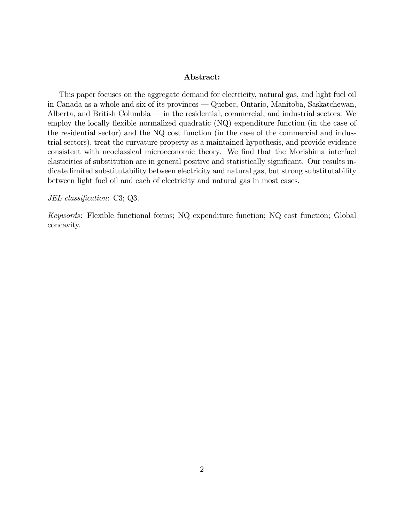#### Abstract:

This paper focuses on the aggregate demand for electricity, natural gas, and light fuel oil in Canada as a whole and six of its provinces  $-$  Quebec, Ontario, Manitoba, Saskatchewan, Alberta, and British Columbia  $\sim$  in the residential, commercial, and industrial sectors. We employ the locally flexible normalized quadratic  $(NQ)$  expenditure function (in the case of the residential sector) and the NQ cost function (in the case of the commercial and industrial sectors), treat the curvature property as a maintained hypothesis, and provide evidence consistent with neoclassical microeconomic theory. We find that the Morishima interfuel elasticities of substitution are in general positive and statistically significant. Our results indicate limited substitutability between electricity and natural gas, but strong substitutability between light fuel oil and each of electricity and natural gas in most cases.

#### JEL classification:  $C3$ ;  $Q3$ .

Keywords: Flexible functional forms; NQ expenditure function; NQ cost function; Global concavity.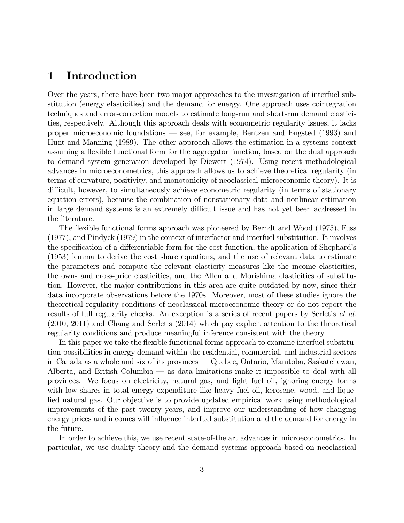## 1 Introduction

Over the years, there have been two major approaches to the investigation of interfuel substitution (energy elasticities) and the demand for energy. One approach uses cointegration techniques and error-correction models to estimate long-run and short-run demand elasticities, respectively. Although this approach deals with econometric regularity issues, it lacks proper microeconomic foundations  $\sim$  see, for example, Bentzen and Engsted (1993) and Hunt and Manning (1989). The other approach allows the estimation in a systems context assuming a áexible functional form for the aggregator function, based on the dual approach to demand system generation developed by Diewert (1974). Using recent methodological advances in microeconometrics, this approach allows us to achieve theoretical regularity (in terms of curvature, positivity, and monotonicity of neoclassical microeconomic theory). It is difficult, however, to simultaneously achieve econometric regularity (in terms of stationary equation errors), because the combination of nonstationary data and nonlinear estimation in large demand systems is an extremely difficult issue and has not yet been addressed in the literature.

The flexible functional forms approach was pioneered by Berndt and Wood (1975), Fuss (1977), and Pindyck (1979) in the context of interfactor and interfuel substitution. It involves the specification of a differentiable form for the cost function, the application of Shephard's (1953) lemma to derive the cost share equations, and the use of relevant data to estimate the parameters and compute the relevant elasticity measures like the income elasticities, the own- and cross-price elasticities, and the Allen and Morishima elasticities of substitution. However, the major contributions in this area are quite outdated by now, since their data incorporate observations before the 1970s. Moreover, most of these studies ignore the theoretical regularity conditions of neoclassical microeconomic theory or do not report the results of full regularity checks. An exception is a series of recent papers by Serletis et al. (2010, 2011) and Chang and Serletis (2014) which pay explicit attention to the theoretical regularity conditions and produce meaningful inference consistent with the theory.

In this paper we take the flexible functional forms approach to examine interfuel substitution possibilities in energy demand within the residential, commercial, and industrial sectors in Canada as a whole and six of its provinces  $\sim$  Quebec, Ontario, Manitoba, Saskatchewan, Alberta, and British Columbia  $\sim$  as data limitations make it impossible to deal with all provinces. We focus on electricity, natural gas, and light fuel oil, ignoring energy forms with low shares in total energy expenditure like heavy fuel oil, kerosene, wood, and lique-Öed natural gas. Our objective is to provide updated empirical work using methodological improvements of the past twenty years, and improve our understanding of how changing energy prices and incomes will influence interfuel substitution and the demand for energy in the future.

In order to achieve this, we use recent state-of-the art advances in microeconometrics. In particular, we use duality theory and the demand systems approach based on neoclassical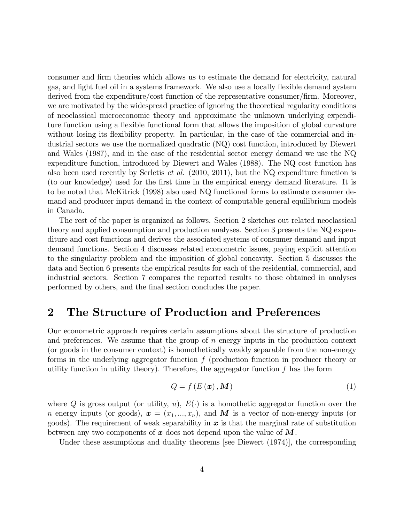consumer and firm theories which allows us to estimate the demand for electricity, natural gas, and light fuel oil in a systems framework. We also use a locally flexible demand system derived from the expenditure/cost function of the representative consumer/firm. Moreover, we are motivated by the widespread practice of ignoring the theoretical regularity conditions of neoclassical microeconomic theory and approximate the unknown underlying expenditure function using a áexible functional form that allows the imposition of global curvature without losing its flexibility property. In particular, in the case of the commercial and industrial sectors we use the normalized quadratic (NQ) cost function, introduced by Diewert and Wales (1987), and in the case of the residential sector energy demand we use the NQ expenditure function, introduced by Diewert and Wales (1988). The NQ cost function has also been used recently by Serletis et al. (2010, 2011), but the NQ expenditure function is (to our knowledge) used for the Örst time in the empirical energy demand literature. It is to be noted that McKitrick (1998) also used NQ functional forms to estimate consumer demand and producer input demand in the context of computable general equilibrium models in Canada.

The rest of the paper is organized as follows. Section 2 sketches out related neoclassical theory and applied consumption and production analyses. Section 3 presents the NQ expenditure and cost functions and derives the associated systems of consumer demand and input demand functions. Section 4 discusses related econometric issues, paying explicit attention to the singularity problem and the imposition of global concavity. Section 5 discusses the data and Section 6 presents the empirical results for each of the residential, commercial, and industrial sectors. Section 7 compares the reported results to those obtained in analyses performed by others, and the Önal section concludes the paper.

## 2 The Structure of Production and Preferences

Our econometric approach requires certain assumptions about the structure of production and preferences. We assume that the group of  $n$  energy inputs in the production context (or goods in the consumer context) is homothetically weakly separable from the non-energy forms in the underlying aggregator function  $f$  (production function in producer theory or utility function in utility theory). Therefore, the aggregator function  $f$  has the form

$$
Q = f(E(\boldsymbol{x}), \boldsymbol{M}) \tag{1}
$$

where Q is gross output (or utility, u),  $E(\cdot)$  is a homothetic aggregator function over the n energy inputs (or goods),  $x = (x_1, ..., x_n)$ , and M is a vector of non-energy inputs (or goods). The requirement of weak separability in  $x$  is that the marginal rate of substitution between any two components of  $x$  does not depend upon the value of  $M$ .

Under these assumptions and duality theorems [see Diewert (1974)], the corresponding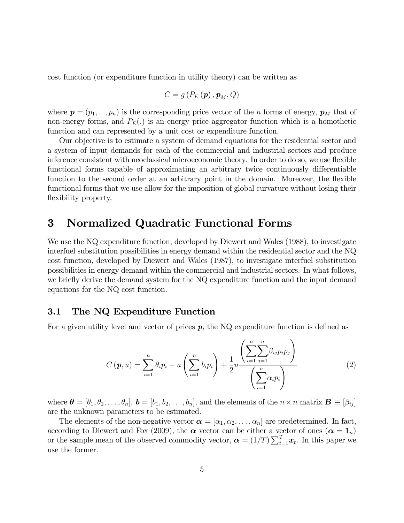cost function (or expenditure function in utility theory) can be written as

$$
C=g(P_E(\boldsymbol{p}),\boldsymbol{p}_M,Q)
$$

where  $p = (p_1, ..., p_n)$  is the corresponding price vector of the *n* forms of energy,  $p_M$  that of non-energy forms, and  $P_E(.)$  is an energy price aggregator function which is a homothetic function and can represented by a unit cost or expenditure function.

Our objective is to estimate a system of demand equations for the residential sector and a system of input demands for each of the commercial and industrial sectors and produce inference consistent with neoclassical microeconomic theory. In order to do so, we use flexible functional forms capable of approximating an arbitrary twice continuously differentiable function to the second order at an arbitrary point in the domain. Moreover, the flexible functional forms that we use allow for the imposition of global curvature without losing their flexibility property.

## 3 Normalized Quadratic Functional Forms

We use the NQ expenditure function, developed by Diewert and Wales (1988), to investigate interfuel substitution possibilities in energy demand within the residential sector and the NQ cost function, developed by Diewert and Wales (1987), to investigate interfuel substitution possibilities in energy demand within the commercial and industrial sectors. In what follows, we briefly derive the demand system for the NQ expenditure function and the input demand equations for the NQ cost function.

### 3.1 The NQ Expenditure Function

For a given utility level and vector of prices  $p$ , the NQ expenditure function is defined as

$$
C\left(\boldsymbol{p},u\right) = \sum_{i=1}^{n} \theta_i p_i + u \left(\sum_{i=1}^{n} b_i p_i\right) + \frac{1}{2} u \frac{\left(\sum_{i=1}^{n} \sum_{j=1}^{n} \beta_{ij} p_i p_j\right)}{\left(\sum_{i=1}^{n} \alpha_i p_i\right)}
$$
(2)

where  $\boldsymbol{\theta} = [\theta_1, \theta_2, \dots, \theta_n], \, \boldsymbol{b} = [b_1, b_2, \dots, b_n],$  and the elements of the  $n \times n$  matrix  $\mathbf{B} \equiv [\beta_{ij}]$ are the unknown parameters to be estimated.

The elements of the non-negative vector  $\alpha = [\alpha_1, \alpha_2, \ldots, \alpha_n]$  are predetermined. In fact, according to Diewert and Fox (2009), the  $\alpha$  vector can be either a vector of ones  $(\alpha = 1_n)$ or the sample mean of the observed commodity vector,  $\boldsymbol{\alpha} = (1/T) \sum_{t=1}^{T} x_t$ . In this paper we use the former.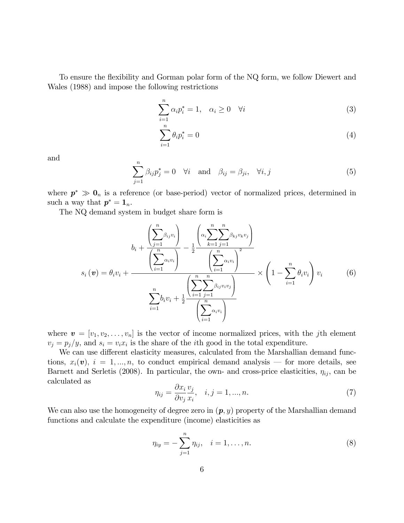To ensure the flexibility and Gorman polar form of the NQ form, we follow Diewert and Wales (1988) and impose the following restrictions

$$
\sum_{i=1}^{n} \alpha_i p_i^* = 1, \quad \alpha_i \ge 0 \quad \forall i
$$
 (3)

$$
\sum_{i=1}^{n} \theta_i p_i^* = 0 \tag{4}
$$

and

$$
\sum_{j=1}^{n} \beta_{ij} p_j^* = 0 \quad \forall i \quad \text{and} \quad \beta_{ij} = \beta_{ji}, \quad \forall i, j \tag{5}
$$

where  $p^* \gg 0_n$  is a reference (or base-period) vector of normalized prices, determined in such a way that  $p^* = 1$ <sub>n</sub>.

The NQ demand system in budget share form is

$$
b_{i} + \frac{\left(\sum_{j=1}^{n} \beta_{ij} v_{i}\right)}{\left(\sum_{i=1}^{n} \alpha_{i} v_{i}\right)} - \frac{1}{2} \frac{\left(\alpha_{i} \sum_{k=1}^{n} \sum_{j=1}^{n} \beta_{kj} v_{k} v_{j}\right)}{\left(\sum_{i=1}^{n} \alpha_{i} v_{i}\right)^{2}} \times \left(1 - \sum_{i=1}^{n} \theta_{i} v_{i}\right) v_{i}
$$
\n
$$
\sum_{i=1}^{n} b_{i} v_{i} + \frac{1}{2} \frac{\left(\sum_{i=1}^{n} \sum_{j=1}^{n} \beta_{ij} v_{i} v_{j}\right)}{\left(\sum_{i=1}^{n} \alpha_{i} v_{i}\right)} \times \left(1 - \sum_{i=1}^{n} \theta_{i} v_{i}\right) v_{i}
$$
\n(6)

where  $\mathbf{v} = [v_1, v_2, \dots, v_n]$  is the vector of income normalized prices, with the jth element  $v_j = p_j/y$ , and  $s_i = v_i x_i$  is the share of the *i*th good in the total expenditure.

We can use different elasticity measures, calculated from the Marshallian demand functions,  $x_i(v)$ ,  $i = 1, ..., n$ , to conduct empirical demand analysis – for more details, see Barnett and Serletis (2008). In particular, the own- and cross-price elasticities,  $\eta_{ij}$ , can be calculated as

$$
\eta_{ij} = \frac{\partial x_i}{\partial v_j} \frac{v_j}{x_i}, \quad i, j = 1, ..., n. \tag{7}
$$

We can also use the homogeneity of degree zero in  $(p, y)$  property of the Marshallian demand functions and calculate the expenditure (income) elasticities as

$$
\eta_{iy} = -\sum_{j=1}^{n} \eta_{ij}, \quad i = 1, \dots, n. \tag{8}
$$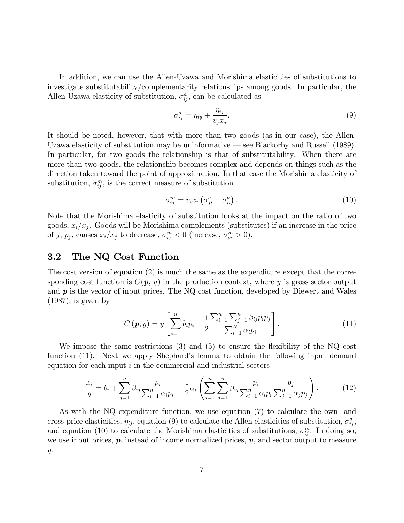In addition, we can use the Allen-Uzawa and Morishima elasticities of substitutions to investigate substitutability/complementarity relationships among goods. In particular, the Allen-Uzawa elasticity of substitution,  $\sigma_{ij}^a$ , can be calculated as

$$
\sigma_{ij}^a = \eta_{iy} + \frac{\eta_{ij}}{v_j x_j}.\tag{9}
$$

It should be noted, however, that with more than two goods (as in our case), the Allen-Uzawa elasticity of substitution may be uninformative  $\sim$  see Blackorby and Russell (1989). In particular, for two goods the relationship is that of substitutability. When there are more than two goods, the relationship becomes complex and depends on things such as the direction taken toward the point of approximation. In that case the Morishima elasticity of substitution,  $\sigma_{ij}^m$ , is the correct measure of substitution

$$
\sigma_{ij}^{m} = v_i x_i \left( \sigma_{ji}^{a} - \sigma_{ii}^{a} \right). \tag{10}
$$

Note that the Morishima elasticity of substitution looks at the impact on the ratio of two goods,  $x_i/x_j$ . Goods will be Morishima complements (substitutes) if an increase in the price of j,  $p_j$ , causes  $x_i/x_j$  to decrease,  $\sigma_{ij}^m < 0$  (increase,  $\sigma_{ij}^m > 0$ ).

### 3.2 The NQ Cost Function

The cost version of equation (2) is much the same as the expenditure except that the corresponding cost function is  $C(p, y)$  in the production context, where y is gross sector output and  $p$  is the vector of input prices. The NQ cost function, developed by Diewert and Wales (1987), is given by

$$
C(\boldsymbol{p}, y) = y \left[ \sum_{i=1}^{n} b_i p_i + \frac{1}{2} \frac{\sum_{i=1}^{n} \sum_{j=1}^{n} \beta_{ij} p_i p_j}{\sum_{i=1}^{N} \alpha_i p_i} \right].
$$
 (11)

We impose the same restrictions  $(3)$  and  $(5)$  to ensure the flexibility of the NQ cost function (11). Next we apply Shephard's lemma to obtain the following input demand equation for each input  $i$  in the commercial and industrial sectors

$$
\frac{x_i}{y} = b_i + \sum_{j=1}^n \beta_{ij} \frac{p_i}{\sum_{i=1}^n \alpha_i p_i} - \frac{1}{2} \alpha_i \left( \sum_{i=1}^n \sum_{j=1}^n \beta_{ij} \frac{p_i}{\sum_{i=1}^n \alpha_i p_i} \frac{p_j}{\sum_{j=1}^n \alpha_j p_j} \right).
$$
(12)

As with the NQ expenditure function, we use equation (7) to calculate the own- and cross-price elasticities,  $\eta_{ij}$ , equation (9) to calculate the Allen elasticities of substitution,  $\sigma_{ij}^a$ , and equation (10) to calculate the Morishima elasticities of substitutions,  $\sigma_{ij}^m$ . In doing so, we use input prices,  $p$ , instead of income normalized prices,  $v$ , and sector output to measure y.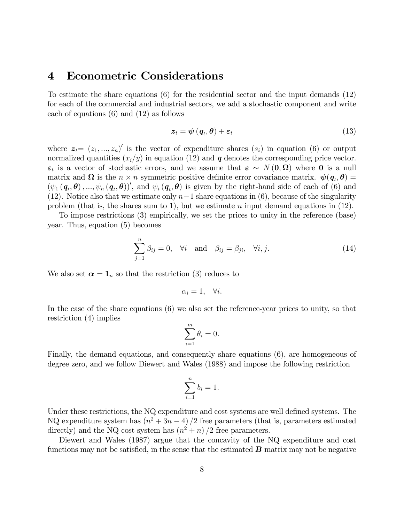## 4 Econometric Considerations

To estimate the share equations (6) for the residential sector and the input demands (12) for each of the commercial and industrial sectors, we add a stochastic component and write each of equations (6) and (12) as follows

$$
z_t = \psi(q_t, \theta) + \varepsilon_t \tag{13}
$$

where  $\boldsymbol{z}_t = (z_1, ..., z_n)'$  is the vector of expenditure shares  $(s_i)$  in equation (6) or output normalized quantities  $(x_i/y)$  in equation (12) and q denotes the corresponding price vector.  $\varepsilon_t$  is a vector of stochastic errors, and we assume that  $\varepsilon \sim N(0, \Omega)$  where 0 is a null matrix and  $\Omega$  is the  $n \times n$  symmetric positive definite error covariance matrix.  $\psi(q_t, \theta) =$  $(\psi_1(q_t, \theta), ..., \psi_n(q_t, \theta))'$ , and  $\psi_i(q_t, \theta)$  is given by the right-hand side of each of (6) and (12). Notice also that we estimate only  $n-1$  share equations in (6), because of the singularity problem (that is, the shares sum to 1), but we estimate n input demand equations in  $(12)$ .

To impose restrictions (3) empirically, we set the prices to unity in the reference (base) year. Thus, equation (5) becomes

$$
\sum_{j=1}^{n} \beta_{ij} = 0, \quad \forall i \quad \text{and} \quad \beta_{ij} = \beta_{ji}, \quad \forall i, j.
$$
 (14)

We also set  $\alpha = 1_n$  so that the restriction (3) reduces to

$$
\alpha_i = 1, \quad \forall i.
$$

In the case of the share equations (6) we also set the reference-year prices to unity, so that restriction (4) implies

$$
\sum_{i=1}^{m} \theta_i = 0.
$$

Finally, the demand equations, and consequently share equations (6), are homogeneous of degree zero, and we follow Diewert and Wales (1988) and impose the following restriction

$$
\sum_{i=1}^{n}b_i=1.
$$

Under these restrictions, the NQ expenditure and cost systems are well defined systems. The NQ expenditure system has  $(n^2 + 3n - 4)/2$  free parameters (that is, parameters estimated directly) and the NQ cost system has  $(n^2 + n)/2$  free parameters.

Diewert and Wales (1987) argue that the concavity of the NQ expenditure and cost functions may not be satisfied, in the sense that the estimated  $\bf{B}$  matrix may not be negative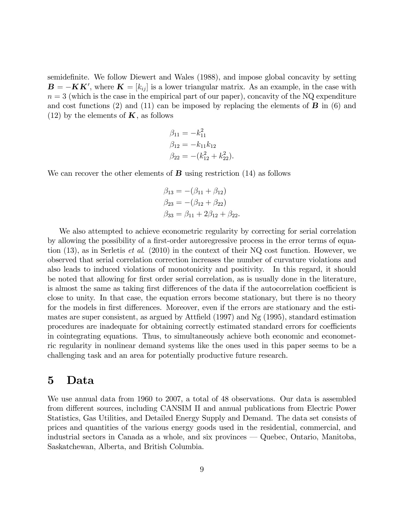semidefinite. We follow Diewert and Wales (1988), and impose global concavity by setting  $\mathbf{B} = -\mathbf{K}\mathbf{K}'$ , where  $\mathbf{K} = [k_{ij}]$  is a lower triangular matrix. As an example, in the case with  $n = 3$  (which is the case in the empirical part of our paper), concavity of the NQ expenditure and cost functions (2) and (11) can be imposed by replacing the elements of  $\bf{B}$  in (6) and (12) by the elements of  $\boldsymbol{K}$ , as follows

$$
\beta_{11} = -k_{11}^2
$$
  
\n
$$
\beta_{12} = -k_{11}k_{12}
$$
  
\n
$$
\beta_{22} = -(k_{12}^2 + k_{22}^2).
$$

We can recover the other elements of  $\bf{B}$  using restriction (14) as follows

$$
\beta_{13} = -(\beta_{11} + \beta_{12})
$$
  
\n
$$
\beta_{23} = -(\beta_{12} + \beta_{22})
$$
  
\n
$$
\beta_{33} = \beta_{11} + 2\beta_{12} + \beta_{22}.
$$

We also attempted to achieve econometric regularity by correcting for serial correlation by allowing the possibility of a first-order autoregressive process in the error terms of equation (13), as in Serletis et al. (2010) in the context of their NQ cost function. However, we observed that serial correlation correction increases the number of curvature violations and also leads to induced violations of monotonicity and positivity. In this regard, it should be noted that allowing for first order serial correlation, as is usually done in the literature, is almost the same as taking first differences of the data if the autocorrelation coefficient is close to unity. In that case, the equation errors become stationary, but there is no theory for the models in first differences. Moreover, even if the errors are stationary and the estimates are super consistent, as argued by Attifield  $(1997)$  and Ng  $(1995)$ , standard estimation procedures are inadequate for obtaining correctly estimated standard errors for coefficients in cointegrating equations. Thus, to simultaneously achieve both economic and econometric regularity in nonlinear demand systems like the ones used in this paper seems to be a challenging task and an area for potentially productive future research.

## 5 Data

We use annual data from 1960 to 2007, a total of 48 observations. Our data is assembled from different sources, including CANSIM II and annual publications from Electric Power Statistics, Gas Utilities, and Detailed Energy Supply and Demand. The data set consists of prices and quantities of the various energy goods used in the residential, commercial, and industrial sectors in Canada as a whole, and six provinces  $\sim$  Quebec, Ontario, Manitoba, Saskatchewan, Alberta, and British Columbia.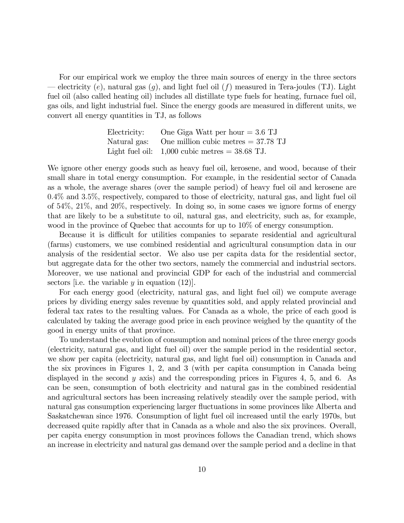For our empirical work we employ the three main sources of energy in the three sectors electricity (e), natural gas  $(g)$ , and light fuel oil  $(f)$  measured in Tera-joules (TJ). Light fuel oil (also called heating oil) includes all distillate type fuels for heating, furnace fuel oil, gas oils, and light industrial fuel. Since the energy goods are measured in different units, we convert all energy quantities in TJ, as follows

| Electricity: | One Giga Watt per hour $= 3.6$ TJ                |
|--------------|--------------------------------------------------|
| Natural gas: | One million cubic metres $=$ 37.78 TJ            |
|              | Light fuel oil: $1,000$ cubic metres = 38.68 TJ. |

We ignore other energy goods such as heavy fuel oil, kerosene, and wood, because of their small share in total energy consumption. For example, in the residential sector of Canada as a whole, the average shares (over the sample period) of heavy fuel oil and kerosene are 0:4% and 3:5%, respectively, compared to those of electricity, natural gas, and light fuel oil of 54%, 21%, and 20%, respectively. In doing so, in some cases we ignore forms of energy that are likely to be a substitute to oil, natural gas, and electricity, such as, for example, wood in the province of Quebec that accounts for up to 10% of energy consumption.

Because it is difficult for utilities companies to separate residential and agricultural (farms) customers, we use combined residential and agricultural consumption data in our analysis of the residential sector. We also use per capita data for the residential sector, but aggregate data for the other two sectors, namely the commercial and industrial sectors. Moreover, we use national and provincial GDP for each of the industrial and commercial sectors [i.e. the variable  $y$  in equation (12)].

For each energy good (electricity, natural gas, and light fuel oil) we compute average prices by dividing energy sales revenue by quantities sold, and apply related provincial and federal tax rates to the resulting values. For Canada as a whole, the price of each good is calculated by taking the average good price in each province weighed by the quantity of the good in energy units of that province.

To understand the evolution of consumption and nominal prices of the three energy goods (electricity, natural gas, and light fuel oil) over the sample period in the residential sector, we show per capita (electricity, natural gas, and light fuel oil) consumption in Canada and the six provinces in Figures 1, 2, and 3 (with per capita consumption in Canada being displayed in the second  $y$  axis) and the corresponding prices in Figures 4, 5, and 6. As can be seen, consumption of both electricity and natural gas in the combined residential and agricultural sectors has been increasing relatively steadily over the sample period, with natural gas consumption experiencing larger fluctuations in some provinces like Alberta and Saskatchewan since 1976. Consumption of light fuel oil increased until the early 1970s, but decreased quite rapidly after that in Canada as a whole and also the six provinces. Overall, per capita energy consumption in most provinces follows the Canadian trend, which shows an increase in electricity and natural gas demand over the sample period and a decline in that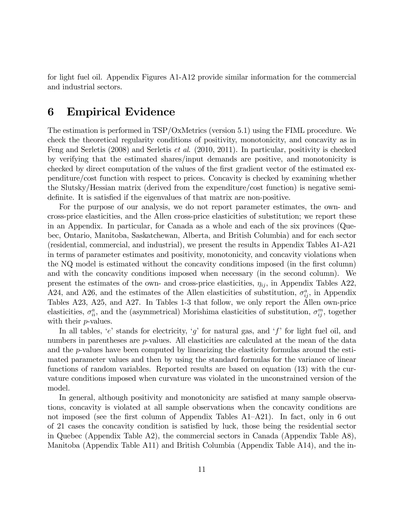for light fuel oil. Appendix Figures A1-A12 provide similar information for the commercial and industrial sectors.

## 6 Empirical Evidence

The estimation is performed in TSP/OxMetrics (version 5.1) using the FIML procedure. We check the theoretical regularity conditions of positivity, monotonicity, and concavity as in Feng and Serletis (2008) and Serletis et al. (2010, 2011). In particular, positivity is checked by verifying that the estimated shares/input demands are positive, and monotonicity is checked by direct computation of the values of the first gradient vector of the estimated expenditure/cost function with respect to prices. Concavity is checked by examining whether the Slutsky/Hessian matrix (derived from the expenditure/cost function) is negative semidefinite. It is satisfied if the eigenvalues of that matrix are non-positive.

For the purpose of our analysis, we do not report parameter estimates, the own- and cross-price elasticities, and the Allen cross-price elasticities of substitution; we report these in an Appendix. In particular, for Canada as a whole and each of the six provinces (Quebec, Ontario, Manitoba, Saskatchewan, Alberta, and British Columbia) and for each sector (residential, commercial, and industrial), we present the results in Appendix Tables A1-A21 in terms of parameter estimates and positivity, monotonicity, and concavity violations when the NQ model is estimated without the concavity conditions imposed (in the first column) and with the concavity conditions imposed when necessary (in the second column). We present the estimates of the own- and cross-price elasticities,  $\eta_{ij}$ , in Appendix Tables A22, A24, and A26, and the estimates of the Allen elasticities of substitution,  $\sigma_{ij}^a$ , in Appendix Tables A23, A25, and A27. In Tables 1-3 that follow, we only report the Allen own-price elasticities,  $\sigma_{ii}^a$ , and the (asymmetrical) Morishima elasticities of substitution,  $\sigma_{ij}^m$ , together with their *p*-values.

In all tables, 'e' stands for electricity, 'g' for natural gas, and 'f' for light fuel oil, and numbers in parentheses are *p*-values. All elasticities are calculated at the mean of the data and the p-values have been computed by linearizing the elasticity formulas around the estimated parameter values and then by using the standard formulas for the variance of linear functions of random variables. Reported results are based on equation (13) with the curvature conditions imposed when curvature was violated in the unconstrained version of the model.

In general, although positivity and monotonicity are satisfied at many sample observations, concavity is violated at all sample observations when the concavity conditions are not imposed (see the first column of Appendix Tables  $A1-A21$ ). In fact, only in 6 out of 21 cases the concavity condition is satisfied by luck, those being the residential sector in Quebec (Appendix Table A2), the commercial sectors in Canada (Appendix Table A8), Manitoba (Appendix Table A11) and British Columbia (Appendix Table A14), and the in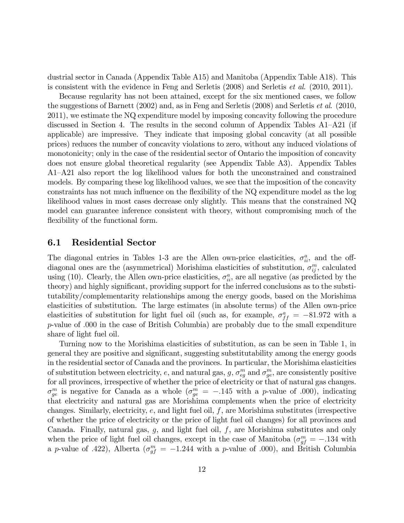dustrial sector in Canada (Appendix Table A15) and Manitoba (Appendix Table A18). This is consistent with the evidence in Feng and Serletis (2008) and Serletis et al. (2010, 2011).

Because regularity has not been attained, except for the six mentioned cases, we follow the suggestions of Barnett (2002) and, as in Feng and Serletis (2008) and Serletis et al. (2010, 2011), we estimate the NQ expenditure model by imposing concavity following the procedure discussed in Section 4. The results in the second column of Appendix Tables  $A1-A21$  (if applicable) are impressive. They indicate that imposing global concavity (at all possible prices) reduces the number of concavity violations to zero, without any induced violations of monotonicity; only in the case of the residential sector of Ontario the imposition of concavity does not ensure global theoretical regularity (see Appendix Table A3). Appendix Tables A1–A21 also report the log likelihood values for both the unconstrained and constrained models. By comparing these log likelihood values, we see that the imposition of the concavity constraints has not much ináuence on the áexibility of the NQ expenditure model as the log likelihood values in most cases decrease only slightly. This means that the constrained NQ model can guarantee inference consistent with theory, without compromising much of the flexibility of the functional form.

#### 6.1 Residential Sector

The diagonal entries in Tables 1-3 are the Allen own-price elasticities,  $\sigma_{ii}^a$ , and the offdiagonal ones are the (asymmetrical) Morishima elasticities of substitution,  $\sigma_{ij}^m$ , calculated using (10). Clearly, the Allen own-price elasticities,  $\sigma_{ii}^a$ , are all negative (as predicted by the theory) and highly significant, providing support for the inferred conclusions as to the substitutability/complementarity relationships among the energy goods, based on the Morishima elasticities of substitution. The large estimates (in absolute terms) of the Allen own-price elasticities of substitution for light fuel oil (such as, for example,  $\sigma_{ff}^a = -81.972$  with a p-value of :000 in the case of British Columbia) are probably due to the small expenditure share of light fuel oil.

Turning now to the Morishima elasticities of substitution, as can be seen in Table 1, in general they are positive and significant, suggesting substitutability among the energy goods in the residential sector of Canada and the provinces. In particular, the Morishima elasticities of substitution between electricity, e, and natural gas, g,  $\sigma_{eg}^m$  and  $\sigma_{ge}^m$ , are consistently positive for all provinces, irrespective of whether the price of electricity or that of natural gas changes.  $\sigma_{ge}^{m}$  is negative for Canada as a whole  $(\sigma_{ge}^{m} = -.145)$  with a p-value of .000), indicating that electricity and natural gas are Morishima complements when the price of electricity changes. Similarly, electricity,  $e$ , and light fuel oil,  $f$ , are Morishima substitutes (irrespective of whether the price of electricity or the price of light fuel oil changes) for all provinces and Canada. Finally, natural gas,  $g$ , and light fuel oil,  $f$ , are Morishima substitutes and only when the price of light fuel oil changes, except in the case of Manitoba  $(\sigma_{gf}^m = -.134 \text{ with})$ a p-value of .422), Alberta ( $\sigma_{gf}^{m} = -1.244$  with a p-value of .000), and British Columbia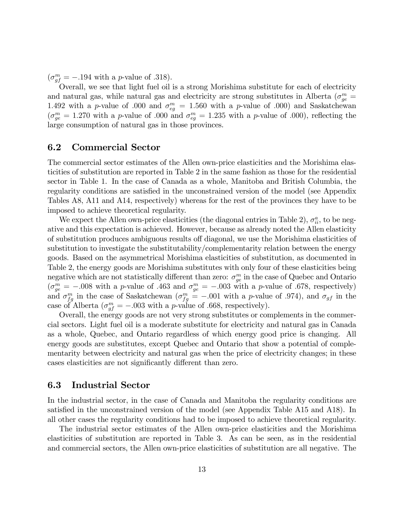$(\sigma_{gf}^m = -.194 \text{ with a } p\text{-value of } .318).$ 

Overall, we see that light fuel oil is a strong Morishima substitute for each of electricity and natural gas, while natural gas and electricity are strong substitutes in Alberta  $(\sigma_{ge}^{m} =$ 1.492 with a p-value of .000 and  $\sigma_{eg}^m = 1.560$  with a p-value of .000) and Saskatchewan  $(\sigma_{ge}^{m} = 1.270 \text{ with a } p\text{-value of } .000 \text{ and } \sigma_{eg}^{m} = 1.235 \text{ with a } p\text{-value of } .000), \text{ reflecting the}$ large consumption of natural gas in those provinces.

### 6.2 Commercial Sector

The commercial sector estimates of the Allen own-price elasticities and the Morishima elasticities of substitution are reported in Table 2 in the same fashion as those for the residential sector in Table 1. In the case of Canada as a whole, Manitoba and British Columbia, the regularity conditions are satisfied in the unconstrained version of the model (see Appendix Tables A8, A11 and A14, respectively) whereas for the rest of the provinces they have to be imposed to achieve theoretical regularity.

We expect the Allen own-price elasticities (the diagonal entries in Table 2),  $\sigma_{ii}^a$ , to be negative and this expectation is achieved. However, because as already noted the Allen elasticity of substitution produces ambiguous results off diagonal, we use the Morishima elasticities of substitution to investigate the substitutability/complementarity relation between the energy goods. Based on the asymmetrical Morishima elasticities of substitution, as documented in Table 2, the energy goods are Morishima substitutes with only four of these elasticities being negative which are not statistically different than zero:  $\sigma_{ge}^m$  in the case of Quebec and Ontario  $(\sigma_{ge}^{m} = -.008)$  with a p-value of :463 and  $\sigma_{ge}^{m} = -.003$  with a p-value of :678, respectively) and  $\sigma_{fg}^m$  in the case of Saskatchewan  $(\sigma_{fg}^m = -.001)$  with a p-value of .974), and  $\sigma_{gf}$  in the case of Alberta ( $\sigma_{gf}^m = -.003$  with a *p*-value of .668, respectively).

Overall, the energy goods are not very strong substitutes or complements in the commercial sectors. Light fuel oil is a moderate substitute for electricity and natural gas in Canada as a whole, Quebec, and Ontario regardless of which energy good price is changing. All energy goods are substitutes, except Quebec and Ontario that show a potential of complementarity between electricity and natural gas when the price of electricity changes; in these cases elasticities are not significantly different than zero.

### 6.3 Industrial Sector

In the industrial sector, in the case of Canada and Manitoba the regularity conditions are satisfied in the unconstrained version of the model (see Appendix Table A15 and A18). In all other cases the regularity conditions had to be imposed to achieve theoretical regularity.

The industrial sector estimates of the Allen own-price elasticities and the Morishima elasticities of substitution are reported in Table 3. As can be seen, as in the residential and commercial sectors, the Allen own-price elasticities of substitution are all negative. The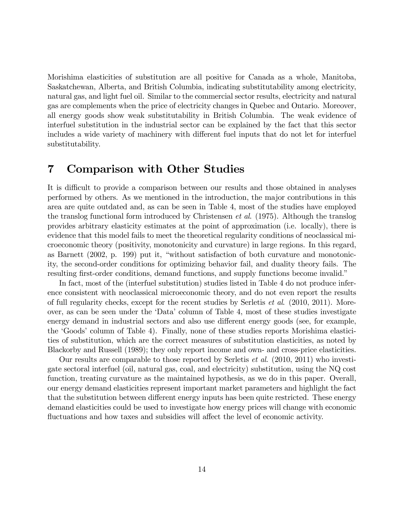Morishima elasticities of substitution are all positive for Canada as a whole, Manitoba, Saskatchewan, Alberta, and British Columbia, indicating substitutability among electricity, natural gas, and light fuel oil. Similar to the commercial sector results, electricity and natural gas are complements when the price of electricity changes in Quebec and Ontario. Moreover, all energy goods show weak substitutability in British Columbia. The weak evidence of interfuel substitution in the industrial sector can be explained by the fact that this sector includes a wide variety of machinery with different fuel inputs that do not let for interfuel substitutability.

## 7 Comparison with Other Studies

It is difficult to provide a comparison between our results and those obtained in analyses performed by others. As we mentioned in the introduction, the major contributions in this area are quite outdated and, as can be seen in Table 4, most of the studies have employed the translog functional form introduced by Christensen  $et \ al.$  (1975). Although the translog provides arbitrary elasticity estimates at the point of approximation (i.e. locally), there is evidence that this model fails to meet the theoretical regularity conditions of neoclassical microeconomic theory (positivity, monotonicity and curvature) in large regions. In this regard, as Barnett  $(2002, p. 199)$  put it, "without satisfaction of both curvature and monotonicity, the second-order conditions for optimizing behavior fail, and duality theory fails. The resulting first-order conditions, demand functions, and supply functions become invalid."

In fact, most of the (interfuel substitution) studies listed in Table 4 do not produce inference consistent with neoclassical microeconomic theory, and do not even report the results of full regularity checks, except for the recent studies by Serletis et al. (2010, 2011). Moreover, as can be seen under the 'Data' column of Table 4, most of these studies investigate energy demand in industrial sectors and also use different energy goods (see, for example, the 'Goods' column of Table 4). Finally, none of these studies reports Morishima elasticities of substitution, which are the correct measures of substitution elasticities, as noted by Blackorby and Russell (1989); they only report income and own- and cross-price elasticities.

Our results are comparable to those reported by Serletis *et al.*  $(2010, 2011)$  who investigate sectoral interfuel (oil, natural gas, coal, and electricity) substitution, using the NQ cost function, treating curvature as the maintained hypothesis, as we do in this paper. Overall, our energy demand elasticities represent important market parameters and highlight the fact that the substitution between different energy inputs has been quite restricted. These energy demand elasticities could be used to investigate how energy prices will change with economic fluctuations and how taxes and subsidies will affect the level of economic activity.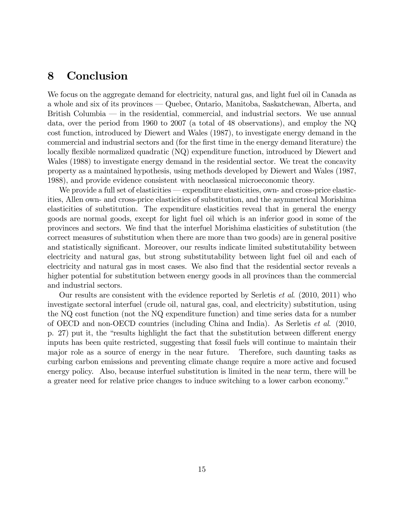## 8 Conclusion

We focus on the aggregate demand for electricity, natural gas, and light fuel oil in Canada as a whole and six of its provinces – Quebec, Ontario, Manitoba, Saskatchewan, Alberta, and British Columbia  $\equiv$  in the residential, commercial, and industrial sectors. We use annual data, over the period from 1960 to 2007 (a total of 48 observations), and employ the NQ cost function, introduced by Diewert and Wales (1987), to investigate energy demand in the commercial and industrial sectors and (for the first time in the energy demand literature) the locally flexible normalized quadratic (NQ) expenditure function, introduced by Diewert and Wales (1988) to investigate energy demand in the residential sector. We treat the concavity property as a maintained hypothesis, using methods developed by Diewert and Wales (1987, 1988), and provide evidence consistent with neoclassical microeconomic theory.

We provide a full set of elasticities — expenditure elasticities, own- and cross-price elasticities, Allen own- and cross-price elasticities of substitution, and the asymmetrical Morishima elasticities of substitution. The expenditure elasticities reveal that in general the energy goods are normal goods, except for light fuel oil which is an inferior good in some of the provinces and sectors. We Önd that the interfuel Morishima elasticities of substitution (the correct measures of substitution when there are more than two goods) are in general positive and statistically significant. Moreover, our results indicate limited substitutability between electricity and natural gas, but strong substitutability between light fuel oil and each of electricity and natural gas in most cases. We also find that the residential sector reveals a higher potential for substitution between energy goods in all provinces than the commercial and industrial sectors.

Our results are consistent with the evidence reported by Serletis et al. (2010, 2011) who investigate sectoral interfuel (crude oil, natural gas, coal, and electricity) substitution, using the NQ cost function (not the NQ expenditure function) and time series data for a number of OECD and non-OECD countries (including China and India). As Serletis et al. (2010, p. 27) put it, the "results highlight the fact that the substitution between different energy inputs has been quite restricted, suggesting that fossil fuels will continue to maintain their major role as a source of energy in the near future. Therefore, such daunting tasks as curbing carbon emissions and preventing climate change require a more active and focused energy policy. Also, because interfuel substitution is limited in the near term, there will be a greater need for relative price changes to induce switching to a lower carbon economy."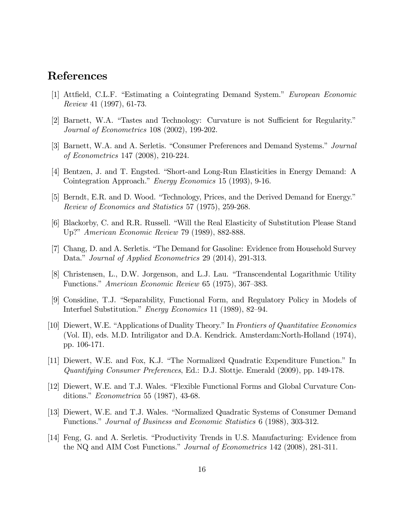## References

- [1] Attfield, C.L.F. "Estimating a Cointegrating Demand System." European Economic Review 41 (1997), 61-73.
- [2] Barnett, W.A. "Tastes and Technology: Curvature is not Sufficient for Regularity." Journal of Econometrics 108 (2002), 199-202.
- [3] Barnett, W.A. and A. Serletis. "Consumer Preferences and Demand Systems." Journal of Econometrics 147 (2008), 210-224.
- [4] Bentzen, J. and T. Engsted. "Short-and Long-Run Elasticities in Energy Demand: A Cointegration Approach." *Energy Economics* 15 (1993), 9-16.
- [5] Berndt, E.R. and D. Wood. "Technology, Prices, and the Derived Demand for Energy." Review of Economics and Statistics 57 (1975), 259-268.
- [6] Blackorby, C. and R.R. Russell. "Will the Real Elasticity of Substitution Please Stand Up?" American Economic Review 79 (1989), 882-888.
- [7] Chang, D. and A. Serletis. "The Demand for Gasoline: Evidence from Household Survey Data." Journal of Applied Econometrics 29 (2014), 291-313.
- [8] Christensen, L., D.W. Jorgenson, and L.J. Lau. "Transcendental Logarithmic Utility Functions." American Economic Review 65 (1975), 367–383.
- [9] Considine, T.J. "Separability, Functional Form, and Regulatory Policy in Models of Interfuel Substitution." *Energy Economics* 11 (1989), 82–94.
- [10] Diewert, W.E. "Applications of Duality Theory." In Frontiers of Quantitative Economics (Vol. II), eds. M.D. Intriligator and D.A. Kendrick. Amsterdam:North-Holland (1974), pp. 106-171.
- [11] Diewert, W.E. and Fox, K.J. "The Normalized Quadratic Expenditure Function." In Quantifying Consumer Preferences, Ed.: D.J. Slottje. Emerald (2009), pp. 149-178.
- [12] Diewert, W.E. and T.J. Wales. "Flexible Functional Forms and Global Curvature Conditions."  $Econometrica 55 (1987), 43-68.$
- [13] Diewert, W.E. and T.J. Wales. "Normalized Quadratic Systems of Consumer Demand Functions." Journal of Business and Economic Statistics 6 (1988), 303-312.
- [14] Feng, G. and A. Serletis. "Productivity Trends in U.S. Manufacturing: Evidence from the NQ and AIM Cost Functions." Journal of Econometrics 142 (2008), 281-311.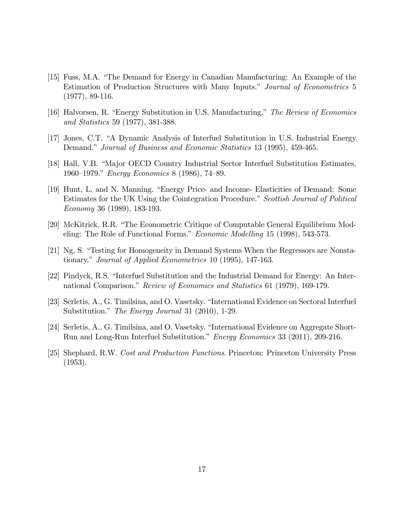- [15] Fuss, M.A. "The Demand for Energy in Canadian Manufacturing: An Example of the Estimation of Production Structures with Many Inputs." Journal of Econometrics 5 (1977), 89-116.
- [16] Halvorsen, R. "Energy Substitution in U.S. Manufacturing." The Review of Economics and Statistics 59 (1977), 381-388.
- [17] Jones, C.T. "A Dynamic Analysis of Interfuel Substitution in U.S. Industrial Energy Demand." Journal of Business and Economic Statistics 13 (1995), 459-465.
- [18] Hall, V.B. "Major OECD Country Industrial Sector Interfuel Substitution Estimates, 1960–1979." *Energy Economics* 8 (1986), 74–89.
- [19] Hunt, L. and N. Manning. "Energy Price- and Income- Elasticities of Demand: Some Estimates for the UK Using the Cointegration Procedure." Scottish Journal of Political Economy 36 (1989), 183-193.
- [20] McKitrick, R.R. "The Econometric Critique of Computable General Equilibrium Modeling: The Role of Functional Forms." *Economic Modelling* 15 (1998), 543-573.
- [21] Ng, S. "Testing for Homogeneity in Demand Systems When the Regressors are Nonstationary." Journal of Applied Econometrics 10 (1995), 147-163.
- [22] Pindyck, R.S. "Interfuel Substitution and the Industrial Demand for Energy: An International Comparison." Review of Economics and Statistics 61 (1979), 169-179.
- [23] Serletis, A., G. Timilsina, and O. Vasetsky. "International Evidence on Sectoral Interfuel Substitution." The Energy Journal 31  $(2010)$ , 1-29.
- [24] Serletis, A., G. Timilsina, and O. Vasetsky. "International Evidence on Aggregate Short-Run and Long-Run Interfuel Substitution." *Energy Economics* 33 (2011), 209-216.
- [25] Shephard, R.W. Cost and Production Functions. Princeton: Princeton University Press (1953).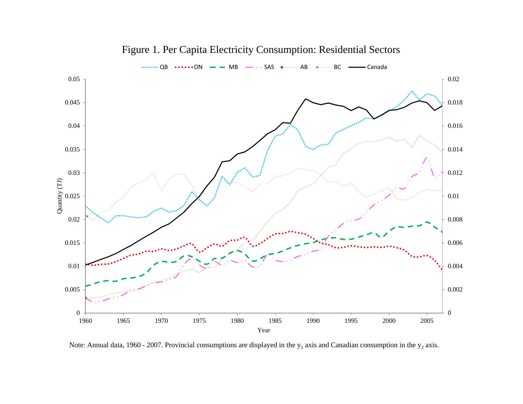

Figure 1. Per Capita Electricity Consumption: Residential Sectors

Note: Annual data, 1960 - 2007. Provincial consumptions are displayed in the  $y_1$  axis and Canadian consumption in the  $y_2$  axis.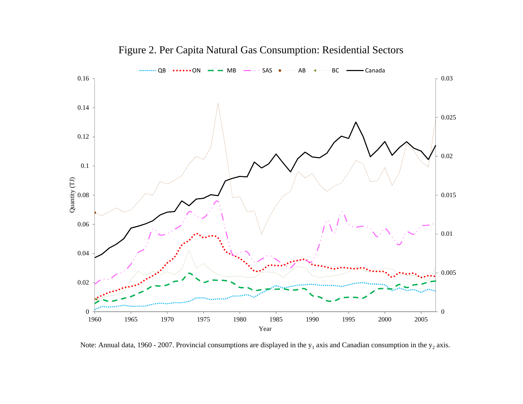

Figure 2. Per Capita Natural Gas Consumption: Residential Sectors

Note: Annual data, 1960 - 2007. Provincial consumptions are displayed in the  $y_1$  axis and Canadian consumption in the  $y_2$  axis.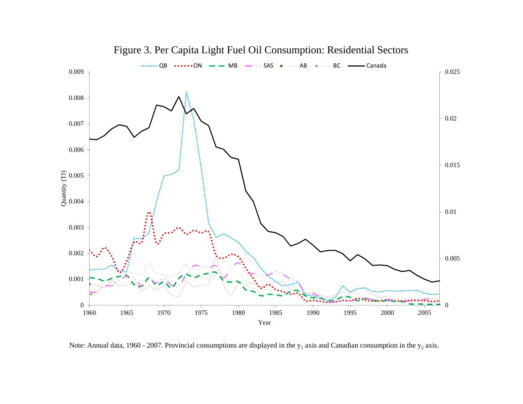

Figure 3. Per Capita Light Fuel Oil Consumption: Residential Sectors

Note: Annual data, 1960 - 2007. Provincial consumptions are displayed in the  $y_1$  axis and Canadian consumption in the  $y_2$  axis.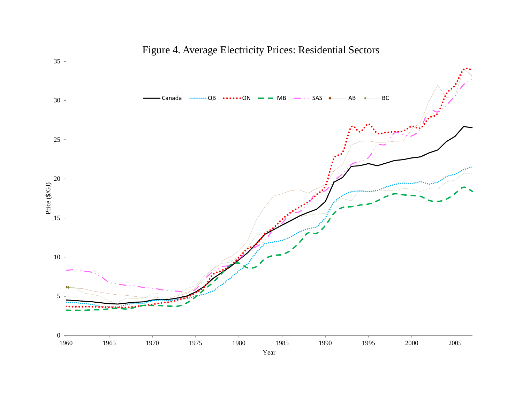

Figure 4. Average Electricity Prices: Residential Sectors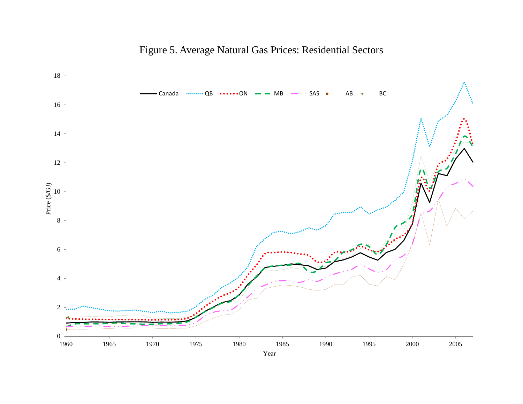

Figure 5. Average Natural Gas Prices: Residential Sectors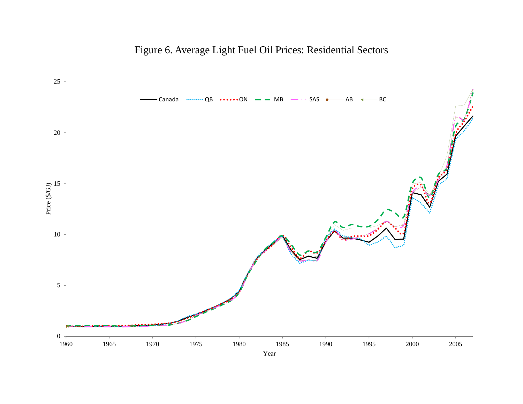

# Figure 6. Average Light Fuel Oil Prices: Residential Sectors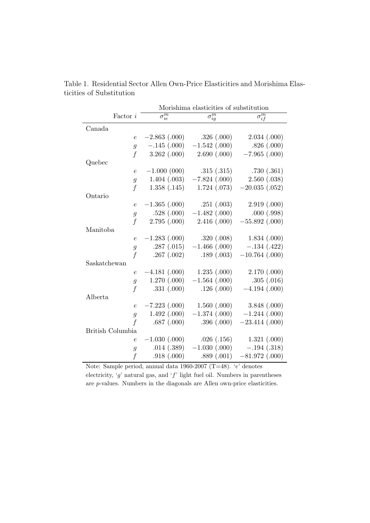|                  | Morishima elasticities of substitution |                            |                            |
|------------------|----------------------------------------|----------------------------|----------------------------|
| Factor $i$       | $\overline{\sigma_{ie}^m}$             | $\overline{\sigma^m_{iq}}$ | $\sigma_{if}^m$            |
| Canada           |                                        |                            |                            |
| $\epsilon$       | $-2.863$ (.000)                        | .326(.000)                 | 2.034(.000)                |
| $\overline{g}$   | $-.145(.000)$                          | $-1.542$ (.000)            | .826(.000)                 |
| $\boldsymbol{f}$ | $3.262$ $(.000)$                       | 2.690(.000)                | $-7.965$ (.000)            |
| Quebec           |                                        |                            |                            |
| $\epsilon$       | $-1.000(000)$                          | .315(.315)                 | .730(.361)                 |
| $\overline{g}$   | 1.404(0.003)                           | $-7.824(0.000)$            | 2.560(0.038)               |
| $\boldsymbol{f}$ | 1.358(.145)                            | 1.724(0.073)               | $-20.035$ (.052)           |
| Ontario          |                                        |                            |                            |
| $\epsilon$       | $-1.365$ (.000)                        | .251(.003)                 | 2.919(0.000)               |
| $\overline{g}$   | .528(.000)                             | $-1.482(0.000)$            | .000(.998)                 |
| $\boldsymbol{f}$ | 2.795(.000)                            | 2.416(.000)                | $-55.892(0.000)$           |
| Manitoba         |                                        |                            |                            |
| $\epsilon$       | $-1.283$ (.000)                        | .320(.008)                 | 1.834(0.000)               |
| $\overline{g}$   | .287(.015)                             | $-1.466$ (.000)            | $-.134(.422)$              |
| $\overline{f}$   | .267(.002)                             | .189(.003)                 | $-10.764$ (.000)           |
| Saskatchewan     |                                        |                            |                            |
| $\epsilon$       | $-4.181(000)$                          | 1.235(.000)                | 2.170(.000)                |
| $\overline{g}$   | $1.270$ $(.000)$                       | $-1.564(0.000)$            | .305(.016)                 |
| $\boldsymbol{f}$ | .331(.000)                             | .126(.000)                 | $-4.194(000)$              |
| Alberta          |                                        |                            |                            |
| $\epsilon$       | $-7.223$ $(.000)$                      | 1.560(0.000)               | 3.848(.000)                |
| $\mathfrak g$    | 1.492(000)                             | $-1.374(0.00)$             | $-1.244$ (.000)            |
| $\mathbf f$      | .687(.000)                             | .396(.000)                 | $-23.414(000)$             |
| British Columbia |                                        |                            |                            |
| $\overline{e}$   | $-1.030$ (.000)                        |                            | $.026(.156)$ $1.321(.000)$ |
| $\overline{g}$   | .014(.389)                             | $-1.030(0.000)$            | $-.194(.318)$              |
| $\overline{f}$   | .918(.000)                             | .889(.001)                 | $-81.972(000)$             |

Table 1. Residential Sector Allen Own-Price Elasticities and Morishima Elasticities of Substitution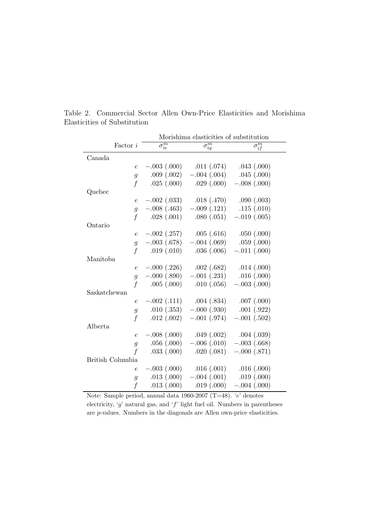|                  | Morishima elasticities of substitution |                                   |                  |  |
|------------------|----------------------------------------|-----------------------------------|------------------|--|
| Factor $i$       | $\sigma_{ie}^m$                        | $\sigma^m_{ig}$                   | $\sigma^m_{if}$  |  |
| Canada           |                                        |                                   |                  |  |
| $\epsilon$       | $-.003(.000)$                          | .011(.074)                        | .043(.000)       |  |
| $\mathfrak{g}$   |                                        | $.009(.002)$ $-.004(.004)$        | .045(.000)       |  |
| $\boldsymbol{f}$ | .025(.000)                             | .029(.000)                        | $-.008(.000)$    |  |
| Quebec           |                                        |                                   |                  |  |
| $\epsilon$       |                                        | $-.002(.033)$ $.018(.470)$        | .090(.003)       |  |
| $\overline{g}$   |                                        | $-.008(.463)$ $-.009(.121)$       | .115(.010)       |  |
| $\boldsymbol{f}$ | .028(.001)                             | .080(.051)                        | $-.019(.005)$    |  |
| Ontario          |                                        |                                   |                  |  |
| $\epsilon$       | $-.002(.257)$                          | .005(.616)                        | .050(.000)       |  |
| $\overline{g}$   |                                        | $-.003$ $(.678)$ $-.004$ $(.069)$ | .059(.000)       |  |
| $\boldsymbol{f}$ | .019(.010)                             | .036(.006)                        | $-.011(.000)$    |  |
| Manitoba         |                                        |                                   |                  |  |
| $\epsilon$       | $-.000(.226)$                          | .002(.682)                        | .014(.000)       |  |
| $\overline{g}$   |                                        | $-.000(.890)$ $-.001(.231)$       | .016(.000)       |  |
| $\overline{f}$   | .005(.000)                             | .010(.056)                        | $-.003(.000)$    |  |
| Saskatchewan     |                                        |                                   |                  |  |
| $\epsilon$       | $-.002(.111)$                          | .004(.834)                        | .007(.000)       |  |
| $\overline{g}$   |                                        | $.010(.353)$ $-.000(.930)$        | .001(.922)       |  |
| $\boldsymbol{f}$ | .012(.002)                             | $-.001(.974)$                     | $-.001(.502)$    |  |
| Alberta          |                                        |                                   |                  |  |
| $\epsilon$       | $-.008(.000)$                          | .049(.002)                        | .004(.039)       |  |
| $\mathfrak g$    | .056(.000)                             | $-.006(.010)$                     | $-.003$ (.668)   |  |
| $\overline{f}$   | $.033$ $(.000)$                        | .020(.081)                        | $-.000(.871)$    |  |
| British Columbia |                                        |                                   |                  |  |
| $\epsilon$       | $-.003(.000)$                          | .016(.001)                        | .016(.000)       |  |
| $\mathfrak{g}$   | $.013$ $(.000)$                        | $-.004(.001)$                     | $.019$ $(.000)$  |  |
| $\boldsymbol{f}$ | .013(.000)                             | .019(.000)                        | $-.004$ $(.000)$ |  |

Table 2. Commercial Sector Allen Own-Price Elasticities and Morishima Elasticities of Substitution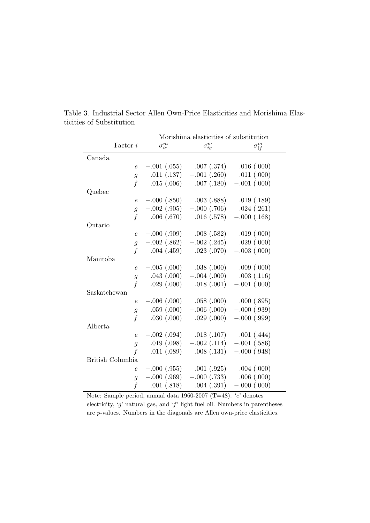|                  | Morishima elasticities of substitution |                                                   |                  |
|------------------|----------------------------------------|---------------------------------------------------|------------------|
| Factor $i$       | $\sigma_{ie}^m$                        | $\sigma^m_{ig}$                                   | $\sigma^m_{if}$  |
| Canada           |                                        |                                                   |                  |
| $\epsilon$       |                                        | $-.001(.055)$ $.007(.374)$                        | .016(.000)       |
| $\mathfrak{g}$   |                                        | $.011(.187) - .001(.260)$                         | .011(.000)       |
| $\boldsymbol{f}$ |                                        | $.015(.006)$ $.007(.180)$                         | $-.001(.000)$    |
| Quebec           |                                        |                                                   |                  |
| $\epsilon$       |                                        | $-.000(.850)$ $.003(.888)$                        | .019(.189)       |
| $\overline{g}$   |                                        | $-.002(.905)$ $-.000(.706)$                       | .024(.261)       |
| $\boldsymbol{f}$ | .006(.670)                             | .016(.578)                                        | $-.000(.168)$    |
| Ontario          |                                        |                                                   |                  |
| $\epsilon$       |                                        | $-.000(.909)$ $.008(.582)$ $.019(.000)$           |                  |
| $\overline{g}$   |                                        | $-.002(.862)$ $-.002(.245)$                       | .029(.000)       |
| $\boldsymbol{f}$ | .004(.459)                             | .023(.070)                                        | $-.003(.000)$    |
| Manitoba         |                                        |                                                   |                  |
| $\epsilon$       | $-.005(.000)$                          | .038(.000)                                        | .009(.000)       |
| $\overline{g}$   |                                        | $.043$ $(.000)$ $-.004$ $(.000)$                  | .003(.116)       |
| $\overline{f}$   | .029(.000)                             | .018(.001)                                        | $-.001$ $(.000)$ |
| Saskatchewan     |                                        |                                                   |                  |
| $\epsilon$       | $-.006(.000)$                          | .058(.000)                                        | .000(.895)       |
| $\overline{g}$   |                                        | $.059$ $(.000)$ $-.006$ $(.000)$ $-.000$ $(.939)$ |                  |
| $\boldsymbol{f}$ | .030(.000)                             | .029(.000)                                        | $-.000(.999)$    |
| Alberta          |                                        |                                                   |                  |
| $\epsilon$       | $-.002(.094)$                          | .018(.107)                                        | .001(0.444)      |
| $\mathfrak{g}$   | .019(.098)                             | $-.002(.114)$                                     | $-.001(.586)$    |
| $\overline{f}$   | .011(.089)                             | .008(.131)                                        | $-.000(.948)$    |
| British Columbia |                                        |                                                   |                  |
| $\epsilon$       |                                        | $-.000(.955)$ $.001(.925)$                        | .004(.000)       |
| $\mathfrak{g}$   | $-.000(.969)$                          | $-.000(.733)$                                     | .006(.000)       |
| $\boldsymbol{f}$ | .001(.818)                             | .004(.391)                                        | $-.000(.000)$    |

Table 3. Industrial Sector Allen Own-Price Elasticities and Morishima Elasticities of Substitution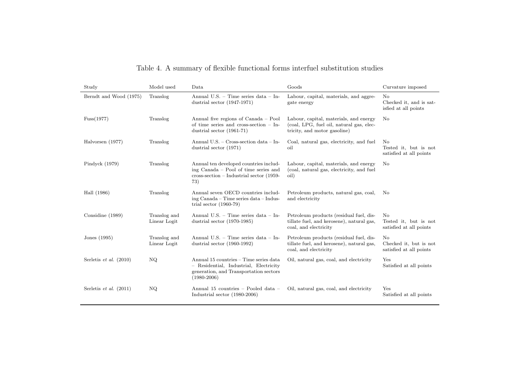| Study                           | Model used                   | Data                                                                                                                                          | Goods                                                                                                              | Curvature imposed                                       |
|---------------------------------|------------------------------|-----------------------------------------------------------------------------------------------------------------------------------------------|--------------------------------------------------------------------------------------------------------------------|---------------------------------------------------------|
| Berndt and Wood (1975)          | Translog                     | Annual U.S. - Time series data - In-<br>dustrial sector $(1947-1971)$                                                                         | Labour, capital, materials, and aggre-<br>gate energy                                                              | No<br>Checked it, and is sat-<br>isfied at all points   |
| Fuss(1977)                      | Translog                     | Annual five regions of Canada – Pool<br>of time series and cross-section $-$ In-<br>dustrial sector $(1961-71)$                               | Labour, capital, materials, and energy<br>(coal, LPG, fuel oil, natural gas, elec-<br>tricity, and motor gasoline) | N <sub>o</sub>                                          |
| Halvorsen (1977)                | Translog                     | Annual U.S. - Cross-section data - In-<br>dustrial sector $(1971)$                                                                            | Coal, natural gas, electricity, and fuel<br>oil                                                                    | No<br>Tested it, but is not<br>satisfied at all points  |
| Pindyck $(1979)$                | Translog                     | Annual ten developed countries includ-<br>ing Canada – Pool of time series and<br>$cross-section - Industrial sector$ (1959-<br>73)           | Labour, capital, materials, and energy<br>(coal, natural gas, electricity, and fuel<br>oil)                        | No                                                      |
| Hall (1986)                     | Translog                     | Annual seven OECD countries includ-<br>ing Canada - Time series data - Indus-<br>trial sector $(1960-79)$                                     | Petroleum products, natural gas, coal,<br>and electricity                                                          | No                                                      |
| Considine (1989)                | Translog and<br>Linear Logit | Annual U.S. $-$ Time series data $-$ In-<br>dustrial sector $(1970-1985)$                                                                     | Petroleum products (residual fuel, dis-<br>tillate fuel, and kerosene), natural gas,<br>coal, and electricity      | No<br>Tested it, but is not<br>satisfied at all points  |
| Jones $(1995)$                  | Translog and<br>Linear Logit | Annual U.S. - Time series data - In-<br>dustrial sector $(1960-1992)$                                                                         | Petroleum products (residual fuel, dis-<br>tillate fuel, and kerosene), natural gas,<br>coal, and electricity      | No<br>Checked it, but is not<br>satisfied at all points |
| Serletis <i>et al.</i> $(2010)$ | NQ                           | Annual 15 countries – Time series data<br>- Residential, Industrial, Electricity<br>generation, and Transportation sectors<br>$(1980 - 2006)$ | Oil, natural gas, coal, and electricity                                                                            | Yes<br>Satisfied at all points                          |
| Serletis <i>et al.</i> $(2011)$ | NQ                           | Annual 15 countries – Pooled data –<br>Industrial sector (1980-2006)                                                                          | Oil, natural gas, coal, and electricity                                                                            | Yes<br>Satisfied at all points                          |

## Table 4. A summary of flexible functional forms interfuel substitution studies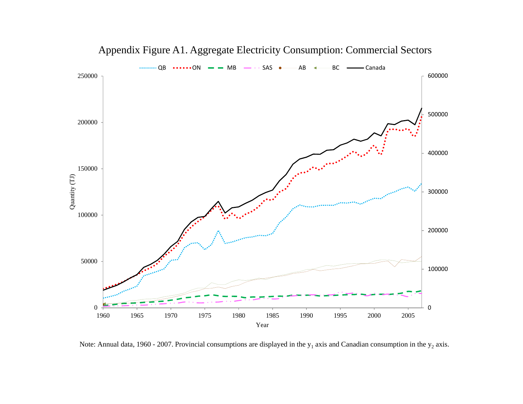

## Appendix Figure A1. Aggregate Electricity Consumption: Commercial Sectors

Note: Annual data, 1960 - 2007. Provincial consumptions are displayed in the  $y_1$  axis and Canadian consumption in the  $y_2$  axis.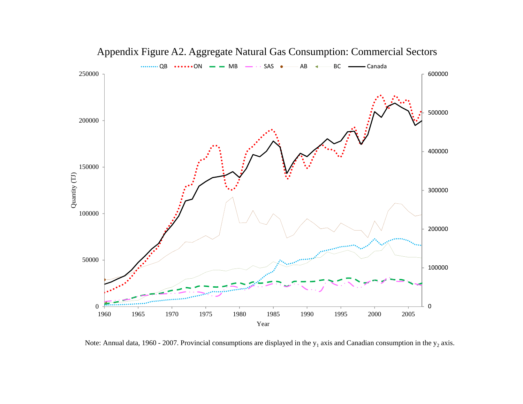

Appendix Figure A2. Aggregate Natural Gas Consumption: Commercial Sectors

Note: Annual data, 1960 - 2007. Provincial consumptions are displayed in the  $y_1$  axis and Canadian consumption in the  $y_2$  axis.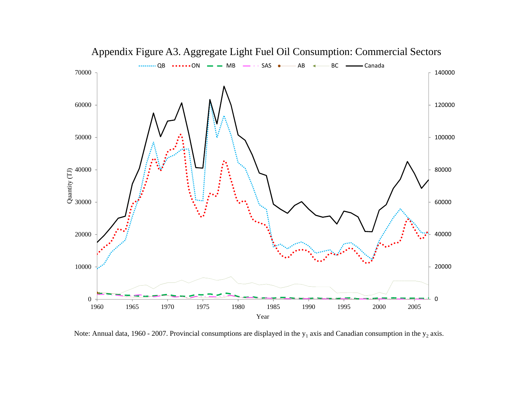

Appendix Figure A3. Aggregate Light Fuel Oil Consumption: Commercial Sectors

Note: Annual data, 1960 - 2007. Provincial consumptions are displayed in the  $y_1$  axis and Canadian consumption in the  $y_2$  axis.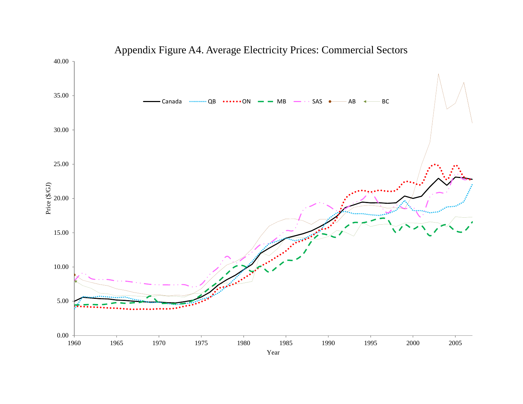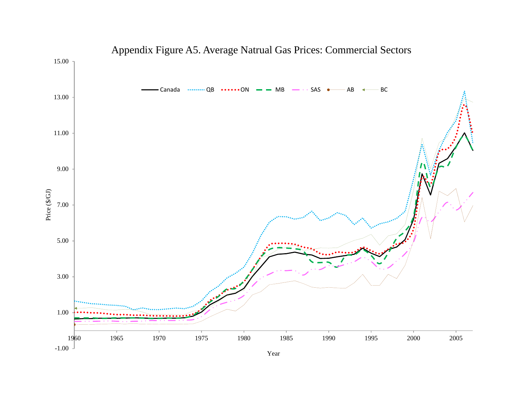

Appendix Figure A5. Average Natrual Gas Prices: Commercial Sectors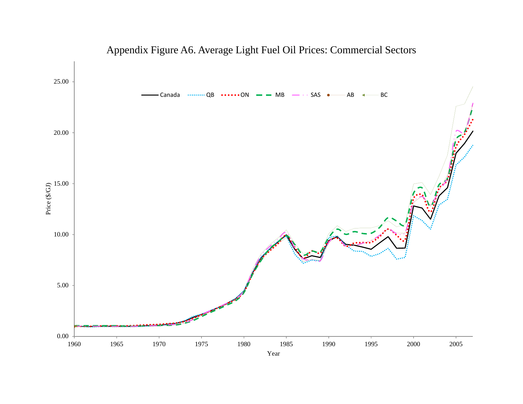

# Appendix Figure A6. Average Light Fuel Oil Prices: Commercial Sectors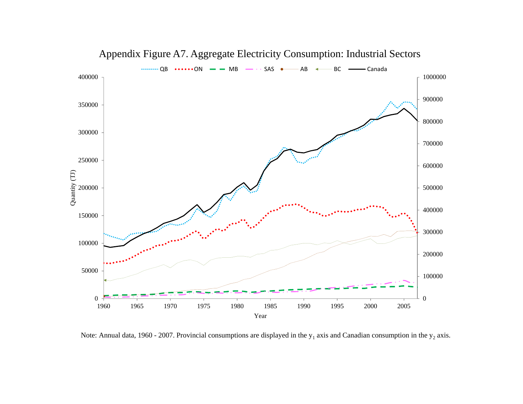

Appendix Figure A7. Aggregate Electricity Consumption: Industrial Sectors

Note: Annual data, 1960 - 2007. Provincial consumptions are displayed in the  $y_1$  axis and Canadian consumption in the  $y_2$  axis.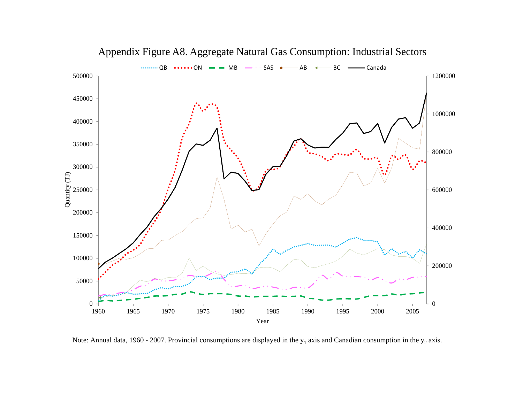

Appendix Figure A8. Aggregate Natural Gas Consumption: Industrial Sectors

Note: Annual data, 1960 - 2007. Provincial consumptions are displayed in the  $y_1$  axis and Canadian consumption in the  $y_2$  axis.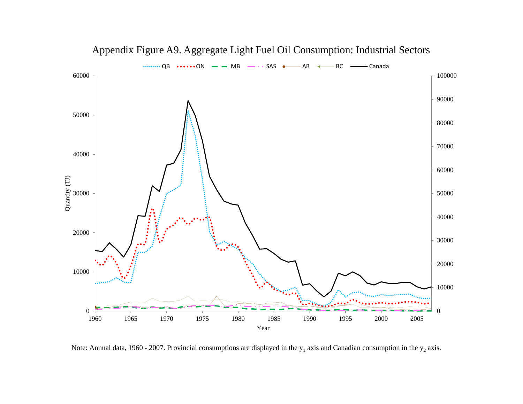

## Appendix Figure A9. Aggregate Light Fuel Oil Consumption: Industrial Sectors

Note: Annual data, 1960 - 2007. Provincial consumptions are displayed in the  $y_1$  axis and Canadian consumption in the  $y_2$  axis.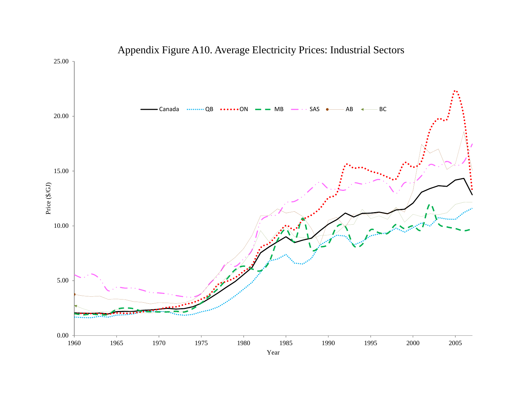

## Appendix Figure A10. Average Electricity Prices: Industrial Sectors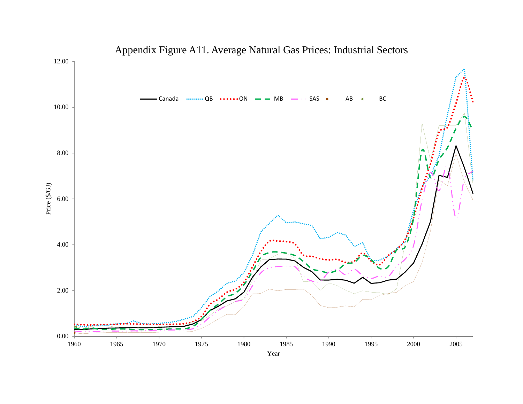

Appendix Figure A11. Average Natural Gas Prices: Industrial Sectors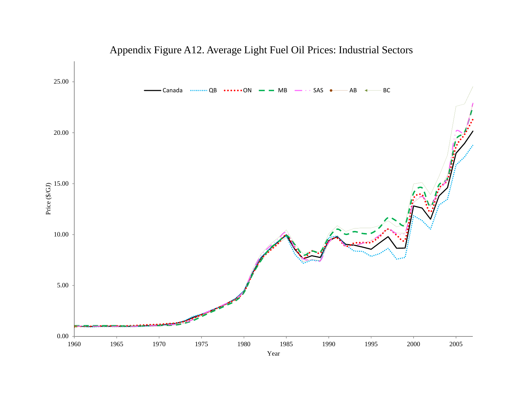

# Appendix Figure A12. Average Light Fuel Oil Prices: Industrial Sectors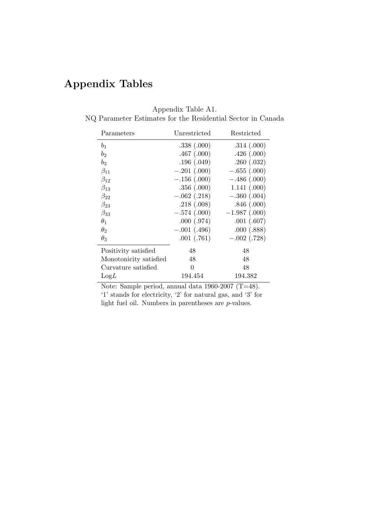# Appendix Tables

| Parameters             | Unrestricted  | Restricted      |
|------------------------|---------------|-----------------|
| $b_1$                  | .338(.000)    | .314(.000)      |
| $b_2$                  | .467(.000)    | .426(.000)      |
| $b_3$                  | .196(.049)    | .260(.032)      |
| $\beta_{11}$           | $-.201(.000)$ | $-.655(.000)$   |
| $\beta_{12}$           | $-.156(.000)$ | $-.486(.000)$   |
| $\beta_{13}$           | .356(.000)    | 1.141(.000)     |
| $\beta_{22}$           | $-.062(.218)$ | $-.360(.004)$   |
| $\beta_{23}$           | .218(.008)    | .846(.000)      |
| $\beta_{33}$           | $-.574(.000)$ | $-1.987$ (.000) |
| $\theta_1$             | .000(.974)    | .001(.607)      |
| $\theta_2$             | $-.001(.496)$ | .000(.888)      |
| $\theta_3$             | .001(.761)    | $-.002$ (.728)  |
| Positivity satisfied   | 48            | 48              |
| Monotonicity satisfied | 48            | 48              |
| Curvature satisfied    | $\Omega$      | 48              |
| LogL                   | 194.454       | 194.382         |

Appendix Table A1. NQ Parameter Estimates for the Residential Sector in Canada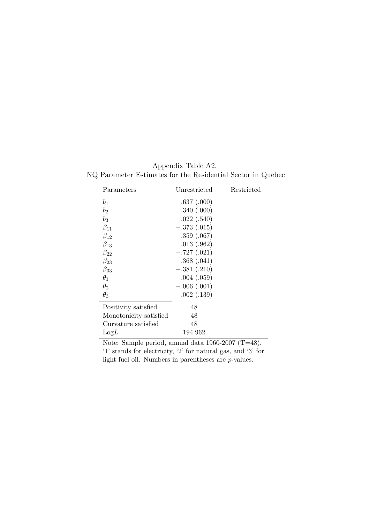| Appendix Table A2.                                          |  |
|-------------------------------------------------------------|--|
| NQ Parameter Estimates for the Residential Sector in Quebec |  |

| Parameters             | Unrestricted  | Restricted |
|------------------------|---------------|------------|
| b <sub>1</sub>         | .637(.000)    |            |
| $b_2$                  | .340(.000)    |            |
| $b_3$                  | .022(.540)    |            |
| $\beta_{11}$           | $-.373(.015)$ |            |
| $\beta_{12}$           | .359(.067)    |            |
| $\beta_{13}$           | .013(.962)    |            |
| $\beta_{22}$           | $-.727(.021)$ |            |
| $\beta_{23}$           | .368(.041)    |            |
| $\beta_{33}$           | $-.381(.210)$ |            |
| $\theta_1$             | .004(.059)    |            |
| $\theta_2$             | $-.006(.001)$ |            |
| $\theta_3$             | .002(.139)    |            |
| Positivity satisfied   | 48            |            |
| Monotonicity satisfied | 48            |            |
| Curvature satisfied    | 48            |            |
| LogL                   | 194.962       |            |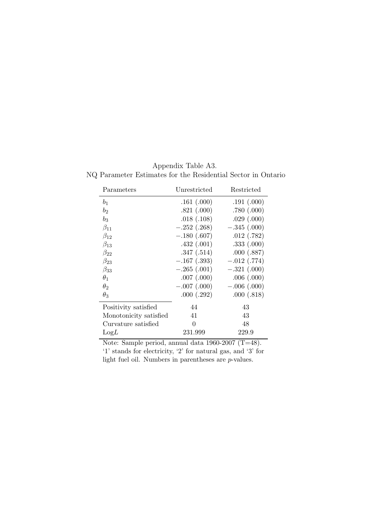| Parameters             | Unrestricted  | Restricted       |
|------------------------|---------------|------------------|
| $b_1$                  | .161(.000)    | .191(.000)       |
| $b_2$                  | .821(.000)    | .780(.000)       |
| $b_3$                  | .018(.108)    | $.029$ $(.000)$  |
| $\beta_{11}$           | $-.252(.268)$ | $-.345(.000)$    |
| $\beta_{12}$           | $-.180(.607)$ | .012(.782)       |
| $\beta_{13}$           | .432(.001)    | .333(.000)       |
| $\beta_{22}$           | .347(.514)    | .000(.887)       |
| $\beta_{23}$           | $-.167(.393)$ | $-.012$ $(.774)$ |
| $\beta_{33}$           | $-.265(.001)$ | $-.321(.000)$    |
| $\theta_1$             | .007(.000)    | .006(.000)       |
| $\theta_2$             | $-.007(.000)$ | $-.006(.000)$    |
| $\theta_3$             | .000(.292)    | .000(.818)       |
| Positivity satisfied   | 44            | 43               |
| Monotonicity satisfied | 41            | 43               |
| Curvature satisfied    | $\Omega$      | 48               |
| LogL                   | 231.999       | 229.9            |

Appendix Table A3. NQ Parameter Estimates for the Residential Sector in Ontario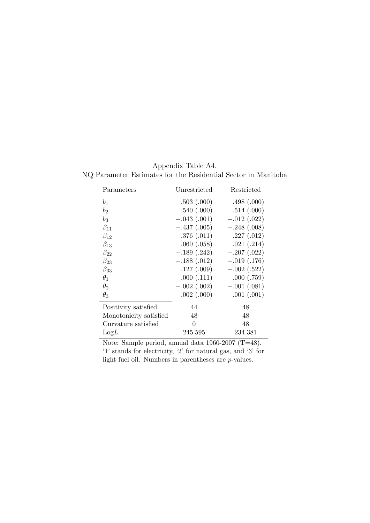| Parameters             | Unrestricted    | Restricted    |
|------------------------|-----------------|---------------|
| b <sub>1</sub>         | .503(.000)      | .498(.000)    |
| $b_2$                  | .540(.000)      | .514(.000)    |
| $b_3$                  | $-.043(.001)$   | $-.012(.022)$ |
| $\beta_{11}$           | $-.437(.005)$   | $-.248(.008)$ |
| $\beta_{12}$           | .376(.011)      | .227(.012)    |
| $\beta_{13}$           | .060(.058)      | .021(.214)    |
| $\beta_{22}$           | $-.189(.242)$   | $-.207(.022)$ |
| $\beta_{23}$           | $-.188(.012)$   | $-.019(.176)$ |
| $\beta_{33}$           | .127(.009)      | $-.002(.522)$ |
| $\theta_1$             | .000(.111)      | .000(.759)    |
| $\theta_2$             | $-.002(.002)$   | $-.001(.081)$ |
| $\theta_3$             | $.002$ $(.000)$ | .001(.001)    |
| Positivity satisfied   | 44              | 48            |
| Monotonicity satisfied | 48              | 48            |
| Curvature satisfied    | $\theta$        | 48            |
| LogL                   | 245.595         | 234.381       |

Appendix Table A4. NQ Parameter Estimates for the Residential Sector in Manitoba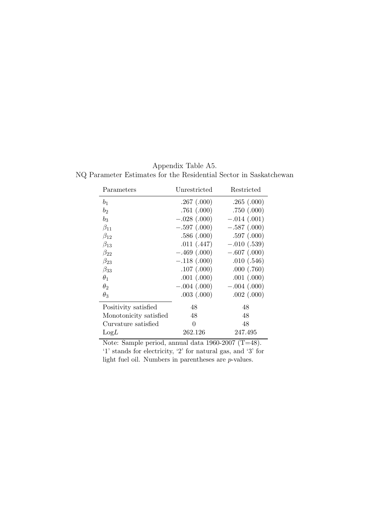| Parameters             | Unrestricted    | Restricted      |
|------------------------|-----------------|-----------------|
| b <sub>1</sub>         | .267(.000)      | .265(.000)      |
| $b_2$                  | .761(.000)      | .750(.000)      |
| $b_3$                  | $-.028(.000)$   | $-.014(.001)$   |
| $\beta_{11}$           | $-.597(.000)$   | $-.587(.000)$   |
| $\beta_{12}$           | .586(.000)      | .597(.000)      |
| $\beta_{13}$           | .011(.447)      | $-.010(.539)$   |
| $\beta_{22}$           | $-.469(.000)$   | $-.607(.000)$   |
| $\beta_{23}$           | $-.118(.000)$   | .010(.546)      |
| $\beta_{33}$           | .107(.000)      | .000(.760)      |
| $\theta_1$             | .001(.000)      | .001(.000)      |
| $\theta_2$             | $-.004(.000)$   | $-.004(.000)$   |
| $\theta_3$             | $.003$ $(.000)$ | $.002$ $(.000)$ |
| Positivity satisfied   | 48              | 48              |
| Monotonicity satisfied | 48              | 48              |
| Curvature satisfied    | $\Omega$        | 48              |
| LogL                   | 262.126         | 247.495         |

Appendix Table A5. NQ Parameter Estimates for the Residential Sector in Saskatchewan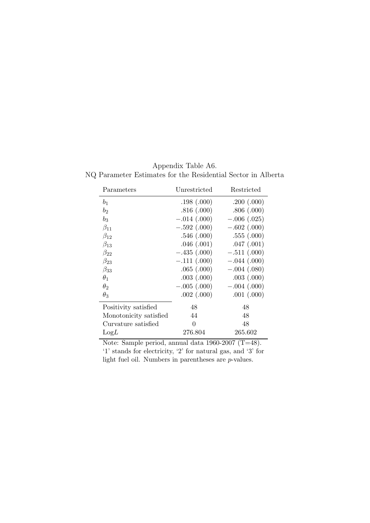| Parameters             | Unrestricted    | Restricted      |
|------------------------|-----------------|-----------------|
| b <sub>1</sub>         | .198(.000)      | .200(.000)      |
| $b_2$                  | .816(.000)      | .806(.000)      |
| $b_3$                  | $-.014(.000)$   | $-.006(.025)$   |
| $\beta_{11}$           | $-.592(.000)$   | $-.602(.000)$   |
| $\beta_{12}$           | .546(.000)      | .555(.000)      |
| $\beta_{13}$           | .046(.001)      | .047(.001)      |
| $\beta_{22}$           | $-.435(.000)$   | $-.511(.000)$   |
| $\beta_{23}$           | $-.111(.000)$   | $-.044(.000)$   |
| $\beta_{33}$           | .065(.000)      | $-.004(.080)$   |
| $\theta_1$             | $.003$ $(.000)$ | $.003$ $(.000)$ |
| $\theta_2$             | $-.005(.000)$   | $-.004(.000)$   |
| $\theta_3$             | .002(.000)      | $.001$ $(.000)$ |
| Positivity satisfied   | 48              | 48              |
| Monotonicity satisfied | 44              | 48              |
| Curvature satisfied    | $\theta$        | 48              |
| LogL                   | 276.804         | 265.602         |

Appendix Table A6. NQ Parameter Estimates for the Residential Sector in Alberta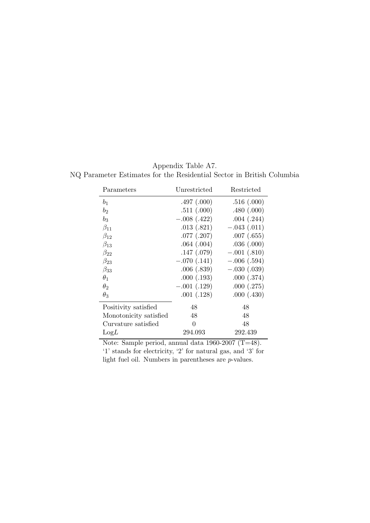| Parameters             | Unrestricted    | Restricted      |  |  |
|------------------------|-----------------|-----------------|--|--|
| b <sub>1</sub>         | .497(.000)      | .516(.000)      |  |  |
| $b_2$                  | .511(.000)      | .480(.000)      |  |  |
| $b_{3}$                | $-.008(.422)$   | $.004$ $(.244)$ |  |  |
| $\beta_{11}$           | .013(.821)      | $-.043(.011)$   |  |  |
| $\beta_{12}$           | $.077$ $(.207)$ | .007(.655)      |  |  |
| $\beta_{13}$           | $.064$ $(.004)$ | .036(.000)      |  |  |
| $\beta_{22}$           | .147(.079)      | $-.001(.810)$   |  |  |
| $\beta_{23}$           | $-.070(.141)$   | $-.006(.594)$   |  |  |
| $\beta_{33}$           | .006(.839)      | $-.030(.039)$   |  |  |
| $\theta_1$             | .000(.193)      | .000(.374)      |  |  |
| $\theta_2$             | $-.001(.129)$   | .000(.275)      |  |  |
| $\theta_3$             | .001(.128)      | .000(.430)      |  |  |
| Positivity satisfied   | 48              | 48              |  |  |
| Monotonicity satisfied | 48              | 48              |  |  |
| Curvature satisfied    | $\theta$        | 48              |  |  |
| LogL                   | 294.093         | 292.439         |  |  |

Appendix Table A7. NQ Parameter Estimates for the Residential Sector in British Columbia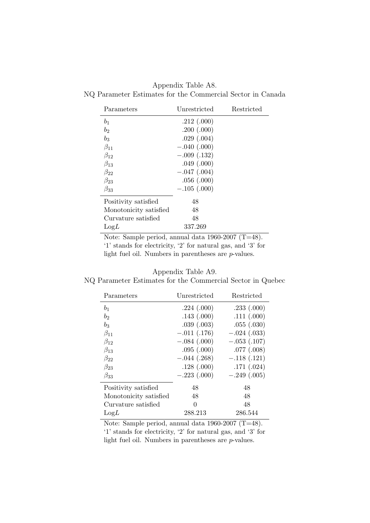Appendix Table A8. NQ Parameter Estimates for the Commercial Sector in Canada

| Parameters                                                                                                                                                                                                                                                                                                                                                                                  | Unrestricted  | Restricted |
|---------------------------------------------------------------------------------------------------------------------------------------------------------------------------------------------------------------------------------------------------------------------------------------------------------------------------------------------------------------------------------------------|---------------|------------|
| b <sub>1</sub>                                                                                                                                                                                                                                                                                                                                                                              | .212(.000)    |            |
| $b_2$                                                                                                                                                                                                                                                                                                                                                                                       | .200(.000)    |            |
| $b_3$                                                                                                                                                                                                                                                                                                                                                                                       | .029(.004)    |            |
| $\beta_{11}$                                                                                                                                                                                                                                                                                                                                                                                | $-.040(.000)$ |            |
| $\beta_{12}$                                                                                                                                                                                                                                                                                                                                                                                | $-.009(.132)$ |            |
| $\beta_{13}$                                                                                                                                                                                                                                                                                                                                                                                | .049(.000)    |            |
| $\beta_{22}$                                                                                                                                                                                                                                                                                                                                                                                | $-.047(.004)$ |            |
| $\beta_{23}$                                                                                                                                                                                                                                                                                                                                                                                | .056(.000)    |            |
| $\beta_{33}$                                                                                                                                                                                                                                                                                                                                                                                | $-.105(.000)$ |            |
| Positivity satisfied                                                                                                                                                                                                                                                                                                                                                                        | 48            |            |
| Monotonicity satisfied                                                                                                                                                                                                                                                                                                                                                                      | 48            |            |
| Curvature satisfied                                                                                                                                                                                                                                                                                                                                                                         | 48            |            |
| LogL                                                                                                                                                                                                                                                                                                                                                                                        | 337.269       |            |
| $N_{\text{min}}$ , $N_{\text{min}}$ , $N_{\text{min}}$ , $N_{\text{min}}$ , $N_{\text{min}}$ , $N_{\text{min}}$ , $N_{\text{min}}$ , $N_{\text{min}}$ , $N_{\text{min}}$ , $N_{\text{min}}$ , $N_{\text{min}}$ , $N_{\text{min}}$ , $N_{\text{min}}$ , $N_{\text{min}}$ , $N_{\text{min}}$ , $N_{\text{min}}$ , $N_{\text{min}}$ , $N_{\text{min}}$ , $N_{\text{min}}$ , $N_{\text{min}}$ , |               | 40)        |

#### Appendix Table A9.

NQ Parameter Estimates for the Commercial Sector in Quebec

| Parameters             | Unrestricted     | Restricted    |  |  |
|------------------------|------------------|---------------|--|--|
| b <sub>1</sub>         | .224(.000)       | .233(.000)    |  |  |
| $b_2$                  | .143(.000)       | .111(.000)    |  |  |
| $b_3$                  | .039(.003)       | .055(.030)    |  |  |
| $\beta_{11}$           | $-.011(.176)$    | $-.024(.033)$ |  |  |
| $\beta_{12}$           | $-.084(.000)$    | $-.053(.107)$ |  |  |
| $\beta_{13}$           | .095(.000)       | .077(.008)    |  |  |
| $\beta_{22}$           | $-.044$ $(.268)$ | $-.118(.121)$ |  |  |
| $\beta_{23}$           | .128(.000)       | .171(.024)    |  |  |
| $\beta_{33}$           | $-.223(.000)$    | $-.249(.005)$ |  |  |
| Positivity satisfied   | 48               | 48            |  |  |
| Monotonicity satisfied | 48               | 48            |  |  |
| Curvature satisfied    | 0                | 48            |  |  |
| LogL                   | 288.213          | 286.544       |  |  |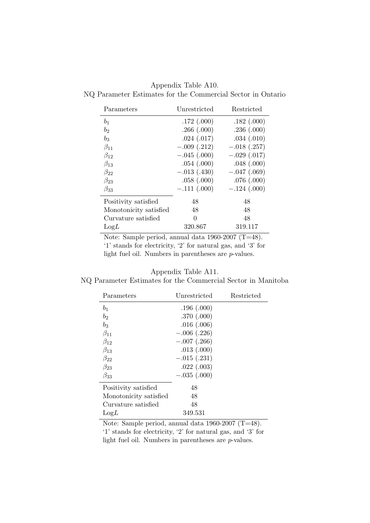|                                                             |  | Appendix Table A10. |  |  |
|-------------------------------------------------------------|--|---------------------|--|--|
| NQ Parameter Estimates for the Commercial Sector in Ontario |  |                     |  |  |

| Parameters             | Unrestricted  | Restricted    |
|------------------------|---------------|---------------|
| b <sub>1</sub>         | .172(.000)    | .182(.000)    |
| $b_2$                  | .266(.000)    | .236(.000)    |
| $b_3$                  | .024(.017)    | .034(.010)    |
| $\beta_{11}$           | $-.009(.212)$ | $-.018(.257)$ |
| $\beta_{12}$           | $-.045(.000)$ | $-.029(.017)$ |
| $\beta_{13}$           | .054(.000)    | .048(.000)    |
| $\beta_{22}$           | $-.013(.430)$ | $-.047(.069)$ |
| $\beta_{23}$           | .058(.000)    | .076(.000)    |
| $\beta_{33}$           | $-.111(.000)$ | $-.124(.000)$ |
| Positivity satisfied   | 48            | 48            |
| Monotonicity satisfied | 48            | 48            |
| Curvature satisfied    | 0             | 48            |
| LogL                   | 320.867       | 319.117       |

### Appendix Table A11.

NQ Parameter Estimates for the Commercial Sector in Manitoba

| Parameters             | Unrestricted  | Restricted |
|------------------------|---------------|------------|
| b <sub>1</sub>         | .196(.000)    |            |
| b <sub>2</sub>         | .370(.000)    |            |
| $b_3$                  | .016(.006)    |            |
| $\beta_{11}$           | $-.006(.226)$ |            |
| $\beta_{12}$           | $-.007(.266)$ |            |
| $\beta_{13}$           | .013(.000)    |            |
| $\beta_{22}$           | $-.015(.231)$ |            |
| $\beta_{23}$           | .022(.003)    |            |
| $\beta_{33}$           | $-.035(.000)$ |            |
| Positivity satisfied   | 48            |            |
| Monotonicity satisfied | 48            |            |
| Curvature satisfied    | 48            |            |
| LogL                   | 349.531       |            |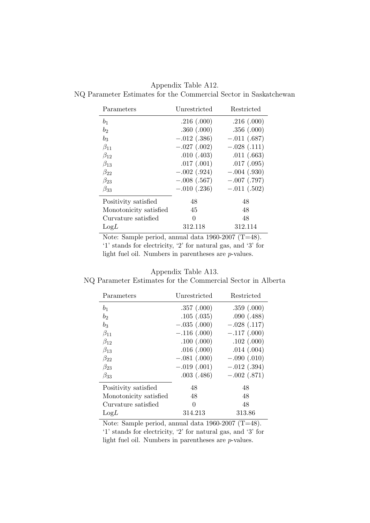|  |  | Appendix Table A12. |  |                                                                  |
|--|--|---------------------|--|------------------------------------------------------------------|
|  |  |                     |  | NQ Parameter Estimates for the Commercial Sector in Saskatchewan |

| Parameters             | Unrestricted  | Restricted    |
|------------------------|---------------|---------------|
| b <sub>1</sub>         | .216(.000)    | .216(.000)    |
| b <sub>2</sub>         | .360(.000)    | .356(.000)    |
| $b_3$                  | $-.012(.386)$ | $-.011(.687)$ |
| $\beta_{11}$           | $-.027(.002)$ | $-.028(.111)$ |
| $\beta_{12}$           | .010(.403)    | .011(.663)    |
| $\beta_{13}$           | .017(.001)    | .017(.095)    |
| $\beta_{22}$           | $-.002(.924)$ | $-.004(.930)$ |
| $\beta_{23}$           | $-.008(.567)$ | $-.007(.797)$ |
| $\beta_{33}$           | $-.010(.236)$ | $-.011(.502)$ |
| Positivity satisfied   | 48            | 48            |
| Monotonicity satisfied | 45            | 48            |
| Curvature satisfied    | 0             | 48            |
| LogL                   | 312.118       | 312.114       |

### Appendix Table A13.

NQ Parameter Estimates for the Commercial Sector in Alberta

| Parameters             | Unrestricted    | Restricted    |
|------------------------|-----------------|---------------|
| $b_1$                  | .357(.000)      | .359(.000)    |
| b <sub>2</sub>         | .105(.035)      | .090(.488)    |
| $b_3$                  | $-.035(.000)$   | $-.028(.117)$ |
| $\beta_{11}$           | $-.116(.000)$   | $-.117(.000)$ |
| $\beta_{12}$           | .100(.000)      | .102(.000)    |
| $\beta_{13}$           | .016(.000)      | .014(.004)    |
| $\beta_{22}$           | $-.081(.000)$   | $-.090(.010)$ |
| $\beta_{23}$           | $-.019(.001)$   | $-.012(.394)$ |
| $\beta_{33}$           | $.003$ $(.486)$ | $-.002(.871)$ |
| Positivity satisfied   | 48              | 48            |
| Monotonicity satisfied | 48              | 48            |
| Curvature satisfied    | $\theta$        | 48            |
| LogL                   | 314.213         | 313.86        |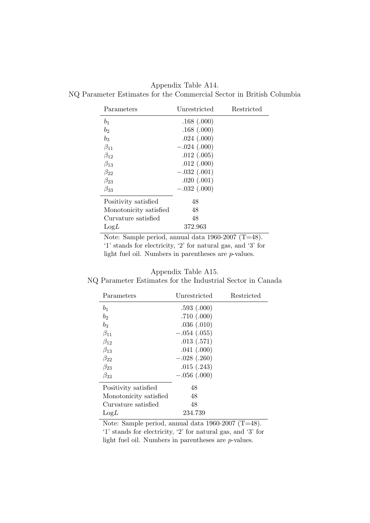Appendix Table A14. NQ Parameter Estimates for the Commercial Sector in British Columbia

| Parameters                                                                                                                                            | Unrestricted  | Restricted             |
|-------------------------------------------------------------------------------------------------------------------------------------------------------|---------------|------------------------|
| b <sub>1</sub>                                                                                                                                        | .168(.000)    |                        |
| $b_2$                                                                                                                                                 | .168(.000)    |                        |
| $b_3$                                                                                                                                                 | .024(.000)    |                        |
| $\beta_{11}$                                                                                                                                          | $-.024(.000)$ |                        |
| $\beta_{12}$                                                                                                                                          | .012(.005)    |                        |
| $\beta_{13}$                                                                                                                                          | .012(.000)    |                        |
| $\beta_{22}$                                                                                                                                          | $-.032(.001)$ |                        |
| $\beta_{23}$                                                                                                                                          | .020(.001)    |                        |
| $\beta_{33}$                                                                                                                                          | $-.032(.000)$ |                        |
| Positivity satisfied                                                                                                                                  | 48            |                        |
| Monotonicity satisfied                                                                                                                                | 48            |                        |
| Curvature satisfied                                                                                                                                   | 48            |                        |
| LogL                                                                                                                                                  | 372.963       |                        |
| $N_{\text{min}}$ , $N_{\text{min}}$ , $N_{\text{min}}$ , $N_{\text{min}}$ , $N_{\text{min}}$ , $N_{\text{min}}$ , $N_{\text{min}}$ , $N_{\text{min}}$ |               | 40)<br>$\sqrt{\Gamma}$ |

#### Appendix Table A15.

NQ Parameter Estimates for the Industrial Sector in Canada

| Parameters             | Unrestricted    | Restricted |
|------------------------|-----------------|------------|
| $b_1$                  | .593(.000)      |            |
| b <sub>2</sub>         | .710(.000)      |            |
| $b_3$                  | .036(.010)      |            |
| $\beta_{11}$           | $-.054(.055)$   |            |
| $\beta_{12}$           | .013(.571)      |            |
| $\beta_{13}$           | $.041$ $(.000)$ |            |
| $\beta_{22}$           | $-.028(.260)$   |            |
| $\beta_{23}$           | .015(.243)      |            |
| $\beta_{33}$           | $-.056(.000)$   |            |
| Positivity satisfied   | 48              |            |
| Monotonicity satisfied | 48              |            |
| Curvature satisfied    | 48              |            |
| LogL                   | 234.739         |            |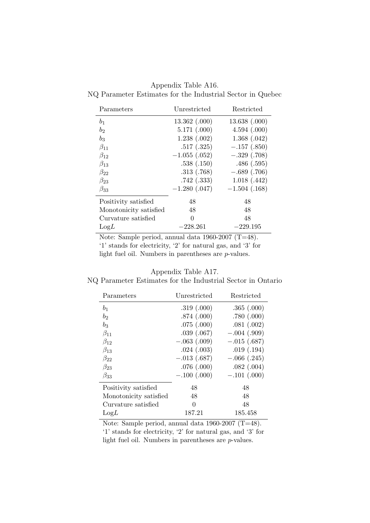|                                                            |  | Appendix Table A16. |  |  |
|------------------------------------------------------------|--|---------------------|--|--|
| NQ Parameter Estimates for the Industrial Sector in Quebec |  |                     |  |  |

| Parameters             | Unrestricted    | Restricted      |
|------------------------|-----------------|-----------------|
| b <sub>1</sub>         | 13.362(000)     | 13.638(.000)    |
| $b_2$                  | 5.171(.000)     | 4.594(.000)     |
| $b_3$                  | 1.238(.002)     | 1.368(.042)     |
| $\beta_{11}$           | .517(.325)      | $-.157(.850)$   |
| $\beta_{12}$           | $-1.055$ (.052) | $-.329(.708)$   |
| $\beta_{13}$           | .538(.150)      | .486(.595)      |
| $\beta_{22}$           | .313(.768)      | $-.689(.706)$   |
| $\beta_{23}$           | .742(.333)      | 1.018(.442)     |
| $\beta_{33}$           | $-1.280$ (.047) | $-1.504$ (.168) |
| Positivity satisfied   | 48              | 48              |
| Monotonicity satisfied | 48              | 48              |
| Curvature satisfied    | 0               | 48              |
| LogL                   | $-228.261$      | $-229.195$      |

### Appendix Table A17.

NQ Parameter Estimates for the Industrial Sector in Ontario

| Parameters             | Unrestricted  | Restricted    |
|------------------------|---------------|---------------|
| $b_1$                  | .319(.000)    | .365(.000)    |
| $b_2$                  | .874(.000)    | .780(.000)    |
| $b_3$                  | .075(.000)    | .081(.002)    |
| $\beta_{11}$           | .039(.067)    | $-.004(.909)$ |
| $\beta_{12}$           | $-.063(.009)$ | $-.015(.687)$ |
| $\beta_{13}$           | .024(.003)    | .019(.194)    |
| $\beta_{22}$           | $-.013(.687)$ | $-.066(.245)$ |
| $\beta_{23}$           | .076(.000)    | .082(.004)    |
| $\beta_{33}$           | $-.100(.000)$ | $-.101(.000)$ |
| Positivity satisfied   | 48            | 48            |
| Monotonicity satisfied | 48            | 48            |
| Curvature satisfied    | 0             | 48            |
| LogL                   | 187.21        | 185.458       |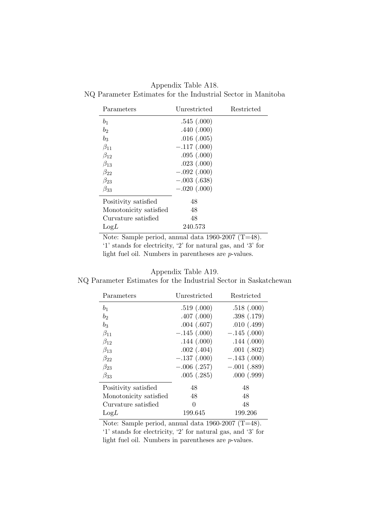Appendix Table A18. NQ Parameter Estimates for the Industrial Sector in Manitoba

| Parameters                                                                                                                                            | Unrestricted<br>Restricted |     |  |
|-------------------------------------------------------------------------------------------------------------------------------------------------------|----------------------------|-----|--|
| b <sub>1</sub>                                                                                                                                        | .545(.000)                 |     |  |
| b <sub>2</sub>                                                                                                                                        | .440(.000)                 |     |  |
| $b_3$                                                                                                                                                 | .016(.005)                 |     |  |
| $\beta_{11}$                                                                                                                                          | $-.117(.000)$              |     |  |
| $\beta_{12}$                                                                                                                                          | .095(.000)                 |     |  |
| $\beta_{13}$                                                                                                                                          | .023(.000)                 |     |  |
| $\beta_{22}$                                                                                                                                          | $-.092(.000)$              |     |  |
| $\beta_{23}$                                                                                                                                          | $-.003(.638)$              |     |  |
| $\beta_{33}$                                                                                                                                          | $-.020(.000)$              |     |  |
| Positivity satisfied                                                                                                                                  | 48                         |     |  |
| Monotonicity satisfied                                                                                                                                | 48                         |     |  |
| Curvature satisfied                                                                                                                                   | 48                         |     |  |
| LogL                                                                                                                                                  | 240.573                    |     |  |
| $N_{\text{min}}$ , $N_{\text{max}}$ , $N_{\text{max}}$ , $N_{\text{max}}$ , $N_{\text{max}}$ , $N_{\text{max}}$ , $N_{\text{max}}$ , $N_{\text{max}}$ |                            | 40) |  |

| Appendix Table A19. |  |  |
|---------------------|--|--|
|---------------------|--|--|

NQ Parameter Estimates for the Industrial Sector in Saskatchewan

| Parameters             | Unrestricted    | Restricted    |
|------------------------|-----------------|---------------|
| $b_1$                  | .519(.000)      | .518(.000)    |
| $b_2$                  | .407(.000)      | .398(.179)    |
| $b_3$                  | $.004$ $(.607)$ | .010(.499)    |
| $\beta_{11}$           | $-.145(.000)$   | $-.145(.000)$ |
| $\beta_{12}$           | .144(.000)      | .144(.000)    |
| $\beta_{13}$           | $.002$ $(.404)$ | .001(.802)    |
| $\beta_{22}$           | $-.137(.000)$   | $-.143(.000)$ |
| $\beta_{23}$           | $-.006(.257)$   | $-.001(.889)$ |
| $\beta_{33}$           | .005(.285)      | .000(.999)    |
| Positivity satisfied   | 48              | 48            |
| Monotonicity satisfied | 48              | 48            |
| Curvature satisfied    | 0               | 48            |
| LogL                   | 199.645         | 199.206       |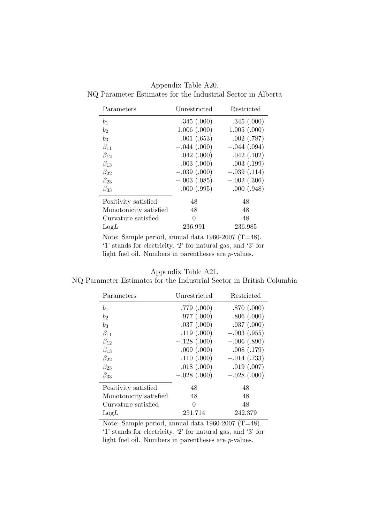| Parameters             | Unrestricted     | Restricted       |
|------------------------|------------------|------------------|
| b <sub>1</sub>         | .345(.000)       | .345(.000)       |
| b <sub>2</sub>         | $1.006$ $(.000)$ | $1.005$ $(.000)$ |
| $b_3$                  | .001(.653)       | $.002$ $(.787)$  |
| $\beta_{11}$           | $-.044(.000)$    | $-.044(.094)$    |
| $\beta_{12}$           | .042(.000)       | .042(.102)       |
| $\beta_{13}$           | $.003$ $(.000)$  | .003(.199)       |
| $\beta_{22}$           | $-.039(.000)$    | $-.039(.114)$    |
| $\beta_{23}$           | $-.003(.085)$    | $-.002(.306)$    |
| $\beta_{33}$           | .000(.995)       | .000(.948)       |
| Positivity satisfied   | 48               | 48               |
| Monotonicity satisfied | 48               | 48               |
| Curvature satisfied    | 0                | 48               |
| LogL                   | 236.991          | 236.985          |

Appendix Table A20. NQ Parameter Estimates for the Industrial Sector in Alberta

#### Appendix Table A21.

NQ Parameter Estimates for the Industrial Sector in British Columbia

| Parameters             | Unrestricted  | Restricted    |
|------------------------|---------------|---------------|
| b <sub>1</sub>         | .779(.000)    | .870(.000)    |
| $b_2$                  | .977(.000)    | .806(.000)    |
| $b_3$                  | .037(.000)    | .037(.000)    |
| $\beta_{11}$           | .119(.000)    | $-.003(.955)$ |
| $\beta_{12}$           | $-.128(.000)$ | $-.006(.890)$ |
| $\beta_{13}$           | .009(.000)    | .008(.179)    |
| $\beta_{22}$           | .110(.000)    | $-.014(.733)$ |
| $\beta_{23}$           | .018(.000)    | .019(.007)    |
| $\beta_{33}$           | $-.028(.000)$ | $-.028(.000)$ |
| Positivity satisfied   | 48            | 48            |
| Monotonicity satisfied | 48            | 48            |
| Curvature satisfied    | 0             | 48            |
| LogL                   | 251.714       | 242.379       |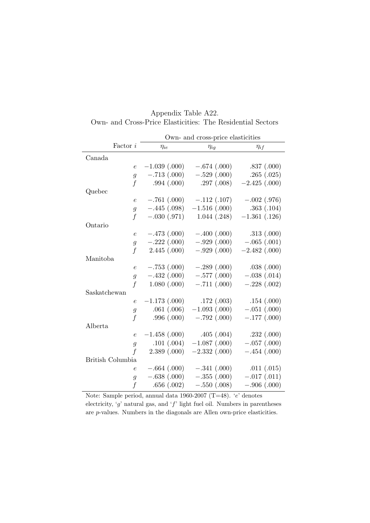|                  |                  | Own- and cross-price elasticities |                 |
|------------------|------------------|-----------------------------------|-----------------|
| Factor $i$       | $\eta_{ie}$      | $\eta_{ig}$                       | $\eta_{if}$     |
| Canada           |                  |                                   |                 |
| $\epsilon$       | $-1.039$ (.000)  | $-.674(.000)$                     | .837(.000)      |
| $\mathfrak{g}$   | $-.713(.000)$    | $-.529(.000)$                     | .265(.025)      |
| $\boldsymbol{f}$ | .994(.000)       | .297(.008)                        | $-2.425$ (.000) |
| Quebec           |                  |                                   |                 |
| $\epsilon$       | $-.761(.000)$    | $-.112(.107)$                     | $-.002(.976)$   |
| $\mathfrak g$    | $-.445(.098)$    | $-1.516(0.000)$                   | .363(.104)      |
| $\boldsymbol{f}$ | $-.030(.971)$    | 1.044(.248)                       | $-1.361(0.126)$ |
| Ontario          |                  |                                   |                 |
| $\epsilon$       | $-.473(.000)$    | $-.400(.000)$                     | .313(.000)      |
| $\boldsymbol{g}$ | $-.222(.000)$    | $-.929(.000)$                     | $-.065(.001)$   |
| $\overline{f}$   | 2.445(.000)      | $-.929(.000)$                     | $-2.482$ (.000) |
| Manitoba         |                  |                                   |                 |
| $\epsilon$       | $-.753(.000)$    | $-.289(.000)$                     | .038(.000)      |
| $\overline{g}$   | $-.432(.000)$    | $-.577(.000)$                     | $-.038(.014)$   |
| f                | $1.080$ $(.000)$ | $-.711(.000)$                     | $-.228(.002)$   |
| Saskatchewan     |                  |                                   |                 |
| $\epsilon$       | $-1.173$ (.000)  | .172(.003)                        | .154(.000)      |
| $\mathfrak g$    | .061(.006)       | $-1.093(0.000)$                   | $-.051(.000)$   |
| $\overline{f}$   | .996(.000)       | $-.792(.000)$                     | $-.177(.000)$   |
| Alberta          |                  |                                   |                 |
| $\epsilon$       | $-1.458$ (.000)  | .405(.004)                        | .232(.000)      |
| $\mathfrak g$    | .101(.004)       | $-1.087$ (.000)                   | $-.057(.000)$   |
| $\ddot{f}$       | 2.389(.000)      | $-2.332(0.000)$                   | $-.454(.000)$   |
| British Columbia |                  |                                   |                 |
| $\epsilon$       | $-.664(.000)$    | $-.341(.000)$                     | .011(.015)      |
| $\mathfrak g$    | $-.638(.000)$    | $-.355(.000)$                     | $-.017(.011)$   |
| $\overline{f}$   | .656(.002)       | $-.550(.008)$                     | $-.906(.000)$   |

Appendix Table A22. Own- and Cross-Price Elasticities: The Residential Sectors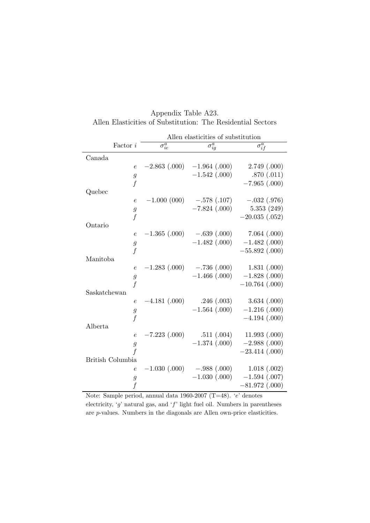|                                                           |                   | Allen elasticities of substitution |                                 |
|-----------------------------------------------------------|-------------------|------------------------------------|---------------------------------|
| Factor $i$                                                | $\sigma_{ie}^a$   | $\sigma_{ig}^a$                    | $\sigma_{if}^a$                 |
| Canada                                                    |                   |                                    |                                 |
| $\epsilon$                                                | $-2.863$ (.000)   | $-1.964(0.000)$                    | 2.749(.000)                     |
| $\mathfrak g$                                             |                   | $-1.542$ (.000)                    | .870(.011)                      |
| $\overline{f}$                                            |                   |                                    | $-7.965$ (.000)                 |
| Quebec                                                    |                   |                                    |                                 |
| $\epsilon$                                                | $-1.000(000)$     | $-.578(.107)$                      | $-.032(.976)$                   |
| $\boldsymbol{g}$                                          |                   | $-7.824$ (.000)                    | 5.353(249)                      |
| $\overline{f}$                                            |                   |                                    | $-20.035$ (.052)                |
| Ontario                                                   |                   |                                    |                                 |
| $\epsilon$                                                | $-1.365$ (.000)   | $-.639(.000)$                      | $7.064$ $(.000)$                |
| $\mathfrak g$                                             |                   | $-1.482$ (.000)                    | $-1.482$ (.000)                 |
| $\overline{f}$                                            |                   |                                    | $-55.892(0.000)$                |
| Manitoba                                                  |                   |                                    |                                 |
| $\epsilon$                                                | $-1.283$ (.000)   | $-.736(.000)$<br>$-1.466$ (.000)   | 1.831(0.000)<br>$-1.828(0.000)$ |
| $\mathfrak g$<br>$\overline{f}$                           |                   |                                    | $-10.764(0.000)$                |
| Saskatchewan                                              |                   |                                    |                                 |
| $\epsilon$                                                | $-4.181(000)$     | .246(.003)                         | 3.634(.000)                     |
| $\mathcal{G}% _{M_{1},M_{2}}^{\alpha,\beta}(\varepsilon)$ |                   | $-1.564(0.000)$                    | $-1.216(0.000)$                 |
| $\overline{f}$                                            |                   |                                    | $-4.194(000)$                   |
| Alberta                                                   |                   |                                    |                                 |
| $\epsilon$                                                | $-7.223$ $(.000)$ | .511(.004)                         | 11.993(0.000)                   |
| $\boldsymbol{g}$                                          |                   | $-1.374(0.000)$                    | $-2.988(.000)$                  |
| $\overline{f}$                                            |                   |                                    | $-23.414(000)$                  |
| British Columbia                                          |                   |                                    |                                 |
| $\epsilon$                                                | $-1.030$ (.000)   | $-.988(.000)$                      | 1.018(.002)                     |
| $\mathcal{G}% _{M_{1},M_{2}}^{\alpha,\beta}(\varepsilon)$ |                   | $-1.030$ $(.000)$                  | $-1.594(0.007)$                 |
| $\boldsymbol{f}$                                          |                   |                                    | $-81.972(0.00)$                 |

Appendix Table A23. Allen Elasticities of Substitution: The Residential Sectors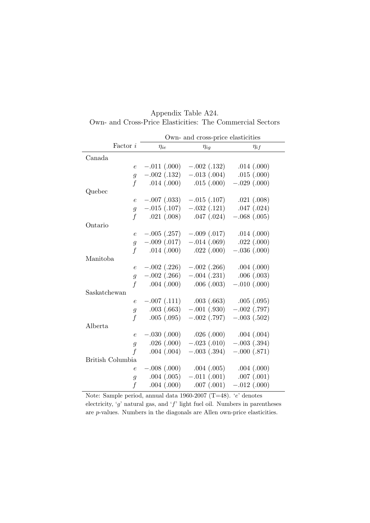|                  | Own- and cross-price elasticities |                             |                  |
|------------------|-----------------------------------|-----------------------------|------------------|
| Factor i         | $\eta_{ie}$                       | $\eta_{ig}$                 | $\eta_{if}$      |
| Canada           |                                   |                             |                  |
| $\boldsymbol{e}$ | $-.011(.000)$                     | $-.002(.132)$               | .014(.000)       |
| $\overline{g}$   | $-.002(.132)$                     | $-.013(.004)$               | .015(.000)       |
| $\boldsymbol{f}$ | .014(.000)                        | .015(.000)                  | $-.029(.000)$    |
| Quebec           |                                   |                             |                  |
| $\epsilon$       | $-.007(.033)$                     | $-.015(.107)$               | .021(.008)       |
| $\overline{g}$   |                                   | $-.015(.107)$ $-.032(.121)$ | $.047$ $(.024)$  |
| $\boldsymbol{f}$ | .021(.008)                        | .047(.024)                  | $-.068(.005)$    |
| Ontario          |                                   |                             |                  |
| $\boldsymbol{e}$ | $-.005(.257)$                     | $-.009(.017)$               | .014(.000)       |
| $\overline{g}$   |                                   | $-.009(.017)$ $-.014(.069)$ | $.022$ $(.000)$  |
| $\boldsymbol{f}$ | .014(.000)                        | $.022$ $(.000)$             | $-.036(.000)$    |
| Manitoba         |                                   |                             |                  |
| $\boldsymbol{e}$ | $-.002$ (.226)                    | $-.002$ (.266)              | $.004$ $(.000)$  |
| $\overline{g}$   | $-.002$ (.266)                    | $-.004(.231)$               | .006(.003)       |
| $\boldsymbol{f}$ | .004(.000)                        | .006(.003)                  | $-.010(.000)$    |
| Saskatchewan     |                                   |                             |                  |
| $\epsilon$       | $-.007(.111)$                     | .003(.663)                  | .005(.095)       |
| $\overline{g}$   | .003(.663)                        | $-.001(.930)$               | $-.002$ (.797)   |
| $\boldsymbol{f}$ | .005(.095)                        | $-.002$ (.797)              | $-.003(.502)$    |
| Alberta          |                                   |                             |                  |
| $\epsilon$       | $-.030(.000)$                     | .026(.000)                  | $.004$ $(.004)$  |
| $\overline{g}$   | .026(.000)                        | $-.023(.010)$               | $-.003(.394)$    |
| $\overline{f}$   | $.004$ $(.004)$                   | $-.003(.394)$               | $-.000(.871)$    |
| British Columbia |                                   |                             |                  |
| $\boldsymbol{e}$ | $-.008(.000)$                     | .004(.005)                  | .004(.000)       |
| $\mathfrak{g}$   | $.004$ $(.005)$                   | $-.011(.001)$               | .007(.001)       |
| $\boldsymbol{f}$ | $.004$ $(.000)$                   | $.007$ $(.001)$             | $-.012$ $(.000)$ |

Appendix Table A24. Own- and Cross-Price Elasticities: The Commercial Sectors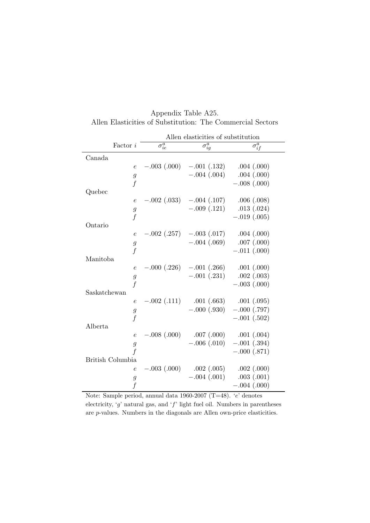|                                                                             |                 | Allen elasticities of substitution |                                |
|-----------------------------------------------------------------------------|-----------------|------------------------------------|--------------------------------|
| Factor $i$                                                                  | $\sigma_{ie}^a$ | $\sigma_{ig}^a$                    | $\sigma_{if}^a$                |
| Canada                                                                      |                 |                                    |                                |
| $\epsilon$                                                                  | $-.003(.000)$   | $-.001(.132)$                      | $.004$ $(.000)$                |
| $\mathfrak g$                                                               |                 | $-.004(.004)$                      | $.004$ $(.000)$                |
| $\overline{f}$                                                              |                 |                                    | $-.008(.000)$                  |
| Quebec                                                                      |                 |                                    |                                |
| $\epsilon$                                                                  | $-.002(.033)$   | $-.004(.107)$                      | .006(.008)                     |
| $\mathcal G$                                                                |                 | $-.009(.121)$                      | .013(.024)                     |
| $\overline{f}$                                                              |                 |                                    | $-.019(.005)$                  |
| Ontario                                                                     |                 |                                    |                                |
| $\epsilon$                                                                  | $-.002(.257)$   | $-.003(.017)$                      | $.004$ $(.000)$                |
| $\mathcal{G}% _{M_{1},M_{2}}^{\alpha,\beta}(\mathcal{G})$                   |                 | $-.004(.069)$                      | $.007$ $(.000)$                |
| $\boldsymbol{f}$                                                            |                 |                                    | $-.011(.000)$                  |
| Manitoba                                                                    |                 |                                    |                                |
| $\boldsymbol{e}$                                                            | $-.000(.226)$   | $-.001$ (.266)                     | .001(.000)                     |
| $\mathcal{G}% _{M_{1},M_{2}}^{\alpha,\beta}(\mathcal{G})$                   |                 | $-.001(.231)$                      | $.002$ $(.003)$                |
| $\overline{f}$                                                              |                 |                                    | $-.003$ $(.000)$               |
| Saskatchewan                                                                |                 |                                    |                                |
| $\boldsymbol{e}$                                                            | $-.002(.111)$   | .001(.663)                         | .001(.095)                     |
| $\mathcal{G}% _{M_{1},M_{2}}^{\alpha,\beta}(\mathcal{G})$<br>$\overline{f}$ |                 | $-.000(.930)$                      | $-.000(.797)$<br>$-.001(.502)$ |
| Alberta                                                                     |                 |                                    |                                |
| $\epsilon$                                                                  | $-.008(.000)$   | $.007$ $(.000)$                    | .001(.004)                     |
|                                                                             |                 | $-.006(.010)$                      | $-.001(.394)$                  |
| $\mathcal{G}% _{M_{1},M_{2}}^{\alpha,\beta}(\mathcal{G})$<br>$\overline{f}$ |                 |                                    | $-.000(.871)$                  |
| British Columbia                                                            |                 |                                    |                                |
| $\epsilon$                                                                  | $-.003(.000)$   | $.002$ $(.005)$                    | $.002$ $(.000)$                |
| $\mathfrak g$                                                               |                 | $-.004(.001)$                      | $.003$ $(.001)$                |
| $\boldsymbol{f}$                                                            |                 |                                    | $-.004(.000)$                  |
|                                                                             |                 |                                    |                                |

Appendix Table A25. Allen Elasticities of Substitution: The Commercial Sectors

 $\overline{\phantom{0}}$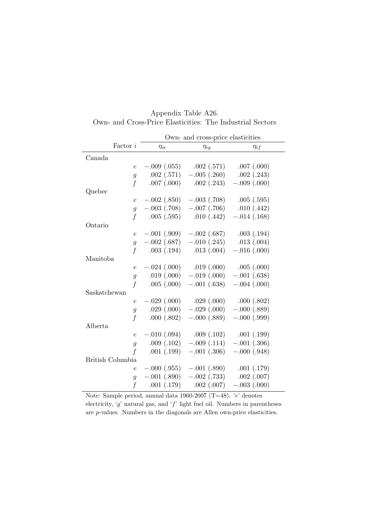|                  |               | Own- and cross-price elasticities |                 |
|------------------|---------------|-----------------------------------|-----------------|
| Factor i         | $\eta_{ie}$   | $\eta_{ig}$                       | $\eta_{if}$     |
| Canada           |               |                                   |                 |
| $\epsilon$       | $-.009(.055)$ | .002(.571)                        | $.007$ $(.000)$ |
| $\overline{g}$   |               | $.002(.571)$ $-.005(.260)$        | .002(.243)      |
| $\overline{f}$   | .007(.000)    | .002(.243)                        | $-.009(.000)$   |
| Quebec           |               |                                   |                 |
| $\epsilon$       | $-.002(.850)$ | $-.003(.708)$                     | .005(.595)      |
| $\overline{g}$   |               | $-.003$ $(.708)$ $-.007$ $(.706)$ | .010(.442)      |
| $\boldsymbol{f}$ | .005(.595)    | .010(.442)                        | $-.014(.168)$   |
| Ontario          |               |                                   |                 |
| $\epsilon$       | $-.001(.909)$ | $-.002(.687)$                     | .003(.194)      |
| $\overline{g}$   |               | $-.002(.687)$ $-.010(.245)$       | .013(.004)      |
| $\boldsymbol{f}$ | .003(.194)    | .013(.004)                        | $-.016(.000)$   |
| Manitoba         |               |                                   |                 |
| $\epsilon$       | $-.024(.000)$ | .019(.000)                        | .005(.000)      |
| $\overline{g}$   |               | $.019$ $(.000)$ $-.019$ $(.000)$  | $-.001(.638)$   |
| $\mathbf f$      | .005(.000)    | $-.001(.638)$                     | $-.004(.000)$   |
| Saskatchewan     |               |                                   |                 |
| $\epsilon$       | $-.029(.000)$ | .029(.000)                        | .000(.802)      |
| $\overline{g}$   | .029(.000)    | $-.029(.000)$                     | $-.000(.889)$   |
| $\overline{f}$   | .000(.802)    | $-.000(.889)$                     | $-.000(.999)$   |
| Alberta          |               |                                   |                 |
| $\epsilon$       | $-.010(.094)$ | .009(.102)                        | .001(.199)      |
| $\mathfrak g$    | .009(.102)    | $-.009(.114)$                     | $-.001(.306)$   |
| $\boldsymbol{f}$ | .001(.199)    | $-.001(.306)$                     | $-.000(.948)$   |
| British Columbia |               |                                   |                 |
| $\boldsymbol{e}$ | $-.000(.955)$ | $-.001(.890)$                     | .001(.179)      |
| $\mathfrak{g}$   | $-.001(.890)$ | $-.002$ (.733)                    | $.002$ $(.007)$ |
| $\boldsymbol{f}$ | .001(.179)    | $.002$ $(.007)$                   | $-.003(.000)$   |

Appendix Table A26. Own- and Cross-Price Elasticities: The Industrial Sectors